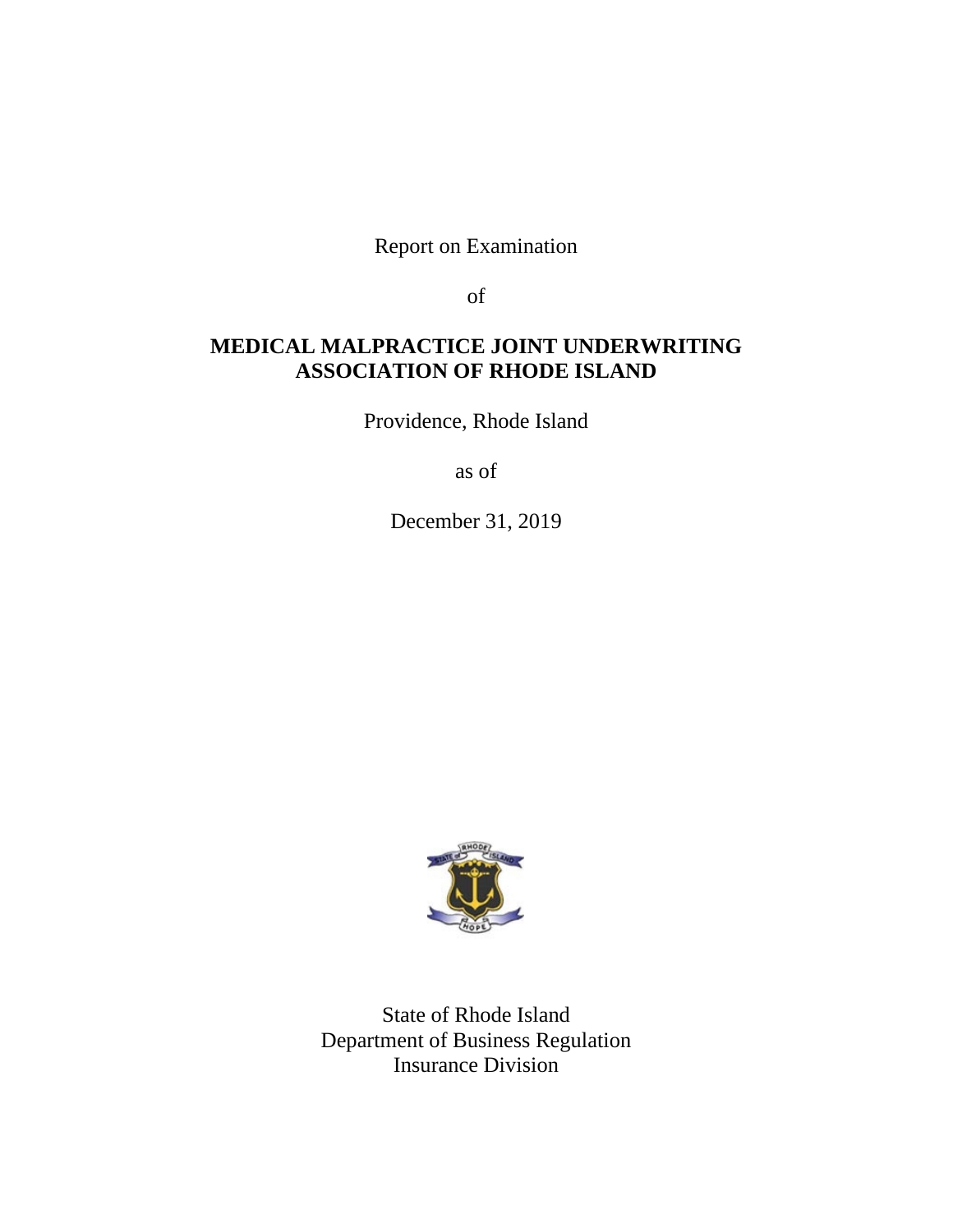Report on Examination

of

# **MEDICAL MALPRACTICE JOINT UNDERWRITING ASSOCIATION OF RHODE ISLAND**

Providence, Rhode Island

as of

December 31, 2019



State of Rhode Island Department of Business Regulation Insurance Division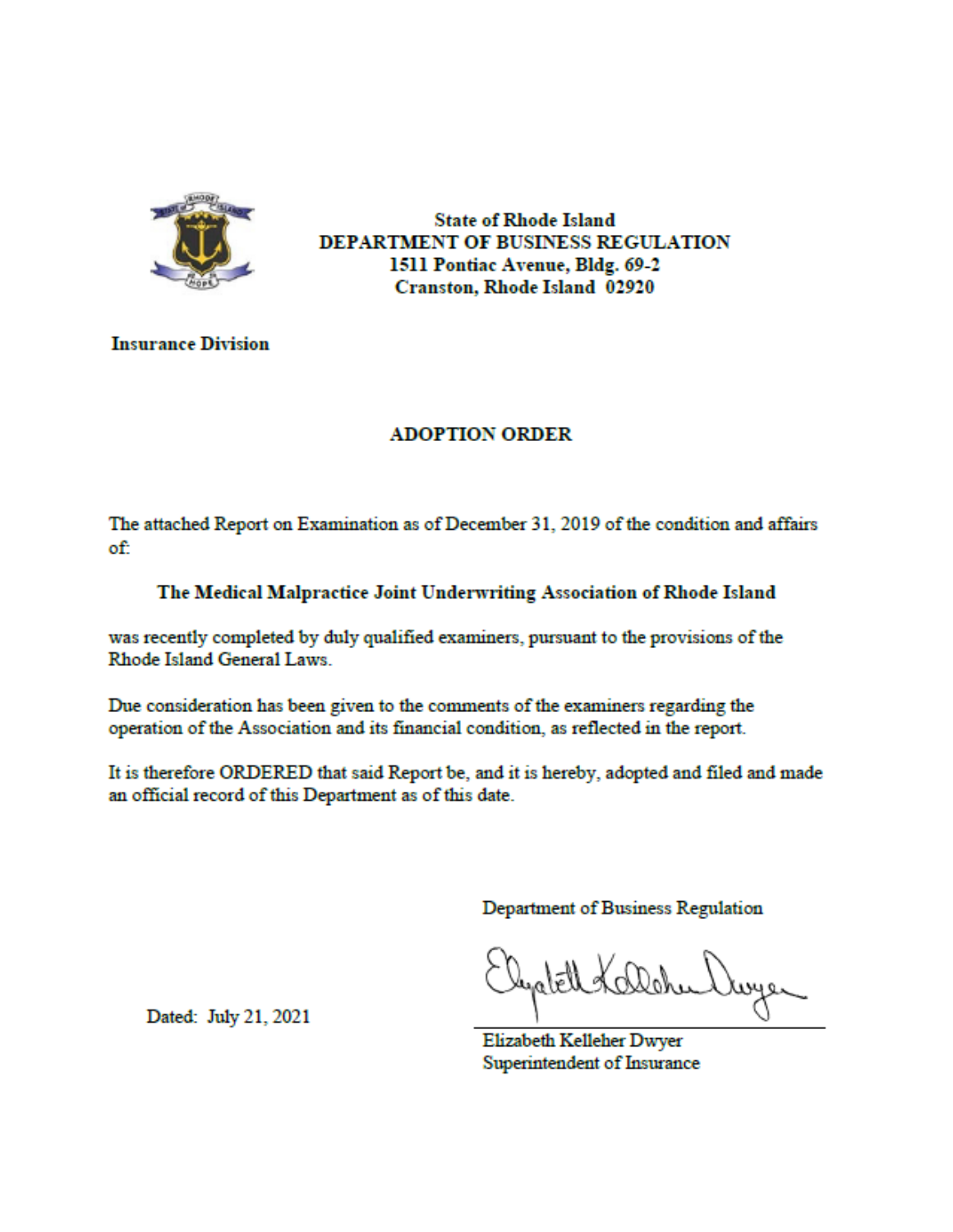

**State of Rhode Island DEPARTMENT OF BUSINESS REGULATION** 1511 Pontiac Avenue, Bldg. 69-2 **Cranston, Rhode Island 02920** 

**Insurance Division** 

# **ADOPTION ORDER**

The attached Report on Examination as of December 31, 2019 of the condition and affairs of:

# The Medical Malpractice Joint Underwriting Association of Rhode Island

was recently completed by duly qualified examiners, pursuant to the provisions of the Rhode Island General Laws.

Due consideration has been given to the comments of the examiners regarding the operation of the Association and its financial condition, as reflected in the report.

It is therefore ORDERED that said Report be, and it is hereby, adopted and filed and made an official record of this Department as of this date.

Department of Business Regulation

Elizabeth Kelleher Dwyer Superintendent of Insurance

Dated: July 21, 2021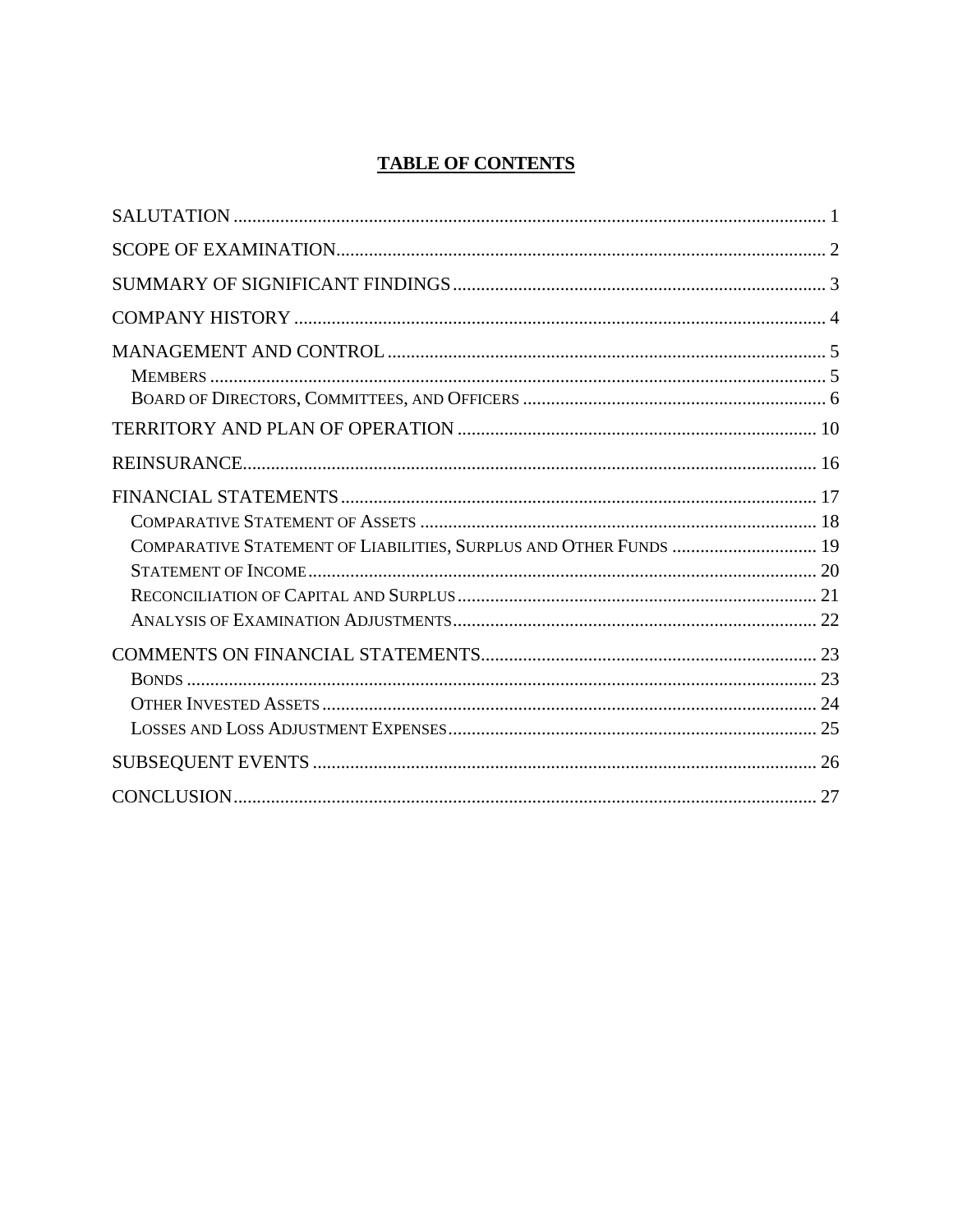# **TABLE OF CONTENTS**

| COMPARATIVE STATEMENT OF LIABILITIES, SURPLUS AND OTHER FUNDS  19 |  |
|-------------------------------------------------------------------|--|
|                                                                   |  |
|                                                                   |  |
|                                                                   |  |
|                                                                   |  |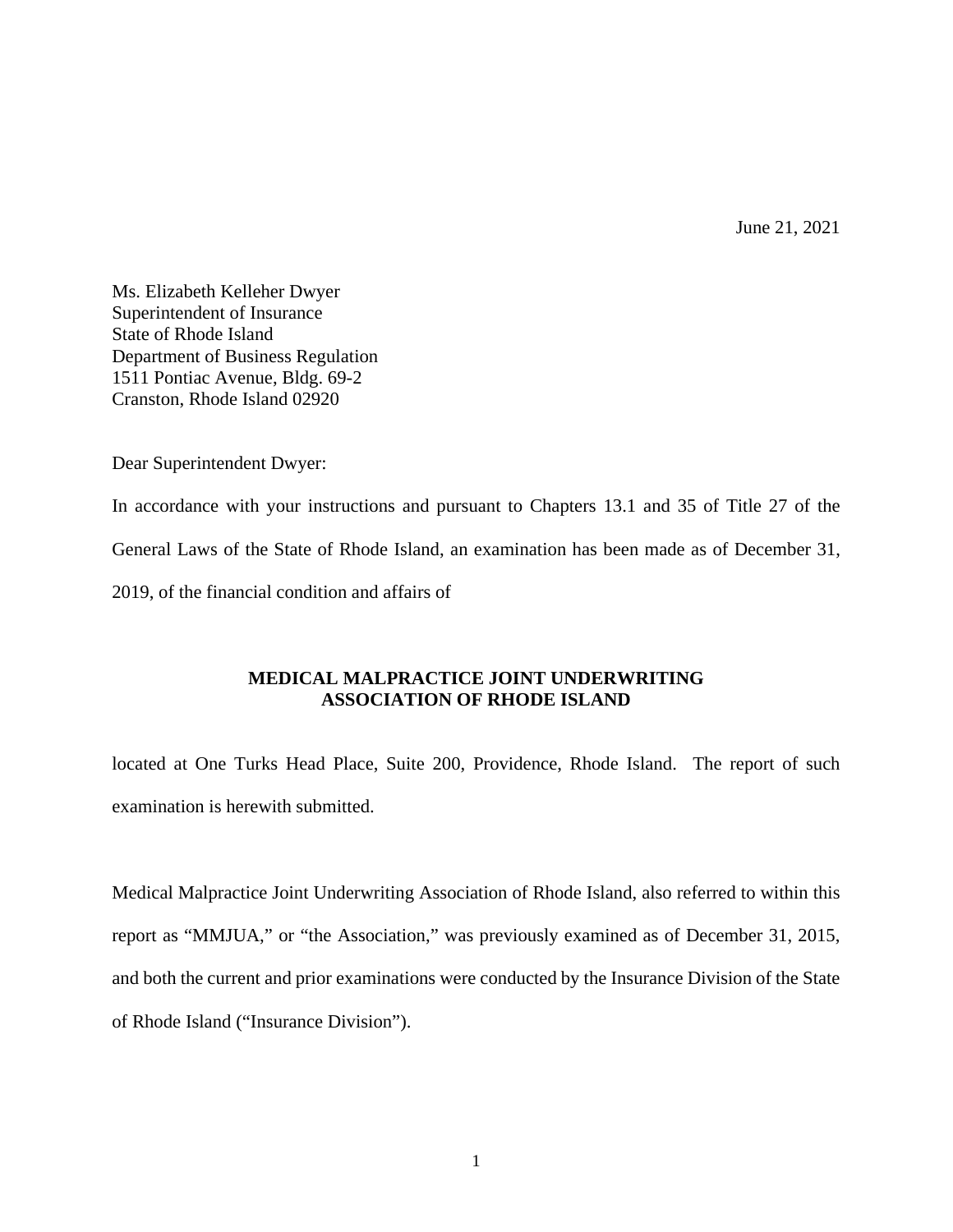June 21, 2021

Ms. Elizabeth Kelleher Dwyer Superintendent of Insurance State of Rhode Island Department of Business Regulation 1511 Pontiac Avenue, Bldg. 69-2 Cranston, Rhode Island 02920

Dear Superintendent Dwyer:

In accordance with your instructions and pursuant to Chapters 13.1 and 35 of Title 27 of the General Laws of the State of Rhode Island, an examination has been made as of December 31, 2019, of the financial condition and affairs of

## **MEDICAL MALPRACTICE JOINT UNDERWRITING ASSOCIATION OF RHODE ISLAND**

located at One Turks Head Place, Suite 200, Providence, Rhode Island. The report of such examination is herewith submitted.

Medical Malpractice Joint Underwriting Association of Rhode Island, also referred to within this report as "MMJUA," or "the Association," was previously examined as of December 31, 2015, and both the current and prior examinations were conducted by the Insurance Division of the State of Rhode Island ("Insurance Division").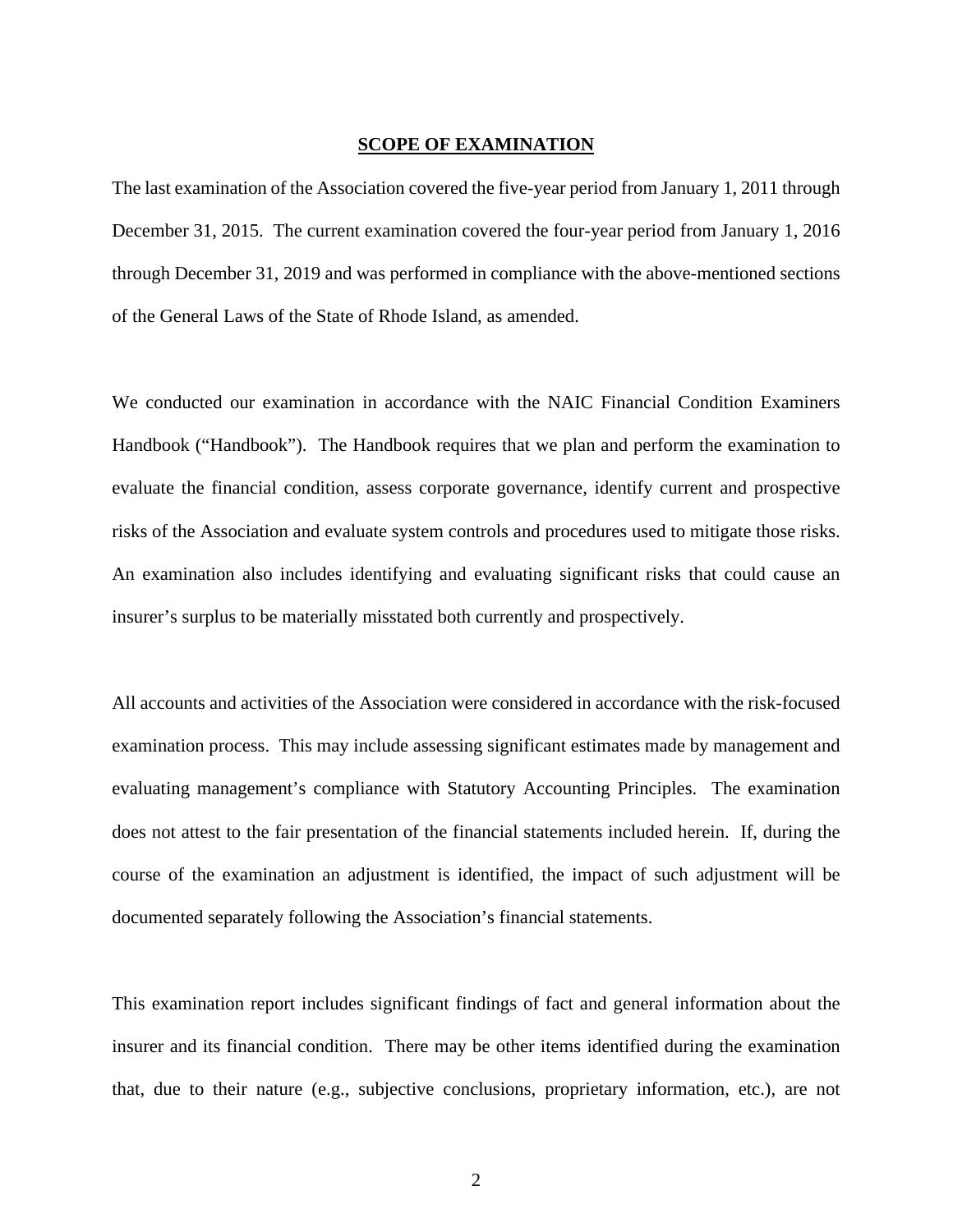#### **SCOPE OF EXAMINATION**

The last examination of the Association covered the five-year period from January 1, 2011 through December 31, 2015. The current examination covered the four-year period from January 1, 2016 through December 31, 2019 and was performed in compliance with the above-mentioned sections of the General Laws of the State of Rhode Island, as amended.

We conducted our examination in accordance with the NAIC Financial Condition Examiners Handbook ("Handbook"). The Handbook requires that we plan and perform the examination to evaluate the financial condition, assess corporate governance, identify current and prospective risks of the Association and evaluate system controls and procedures used to mitigate those risks. An examination also includes identifying and evaluating significant risks that could cause an insurer's surplus to be materially misstated both currently and prospectively.

All accounts and activities of the Association were considered in accordance with the risk-focused examination process. This may include assessing significant estimates made by management and evaluating management's compliance with Statutory Accounting Principles. The examination does not attest to the fair presentation of the financial statements included herein. If, during the course of the examination an adjustment is identified, the impact of such adjustment will be documented separately following the Association's financial statements.

This examination report includes significant findings of fact and general information about the insurer and its financial condition. There may be other items identified during the examination that, due to their nature (e.g., subjective conclusions, proprietary information, etc.), are not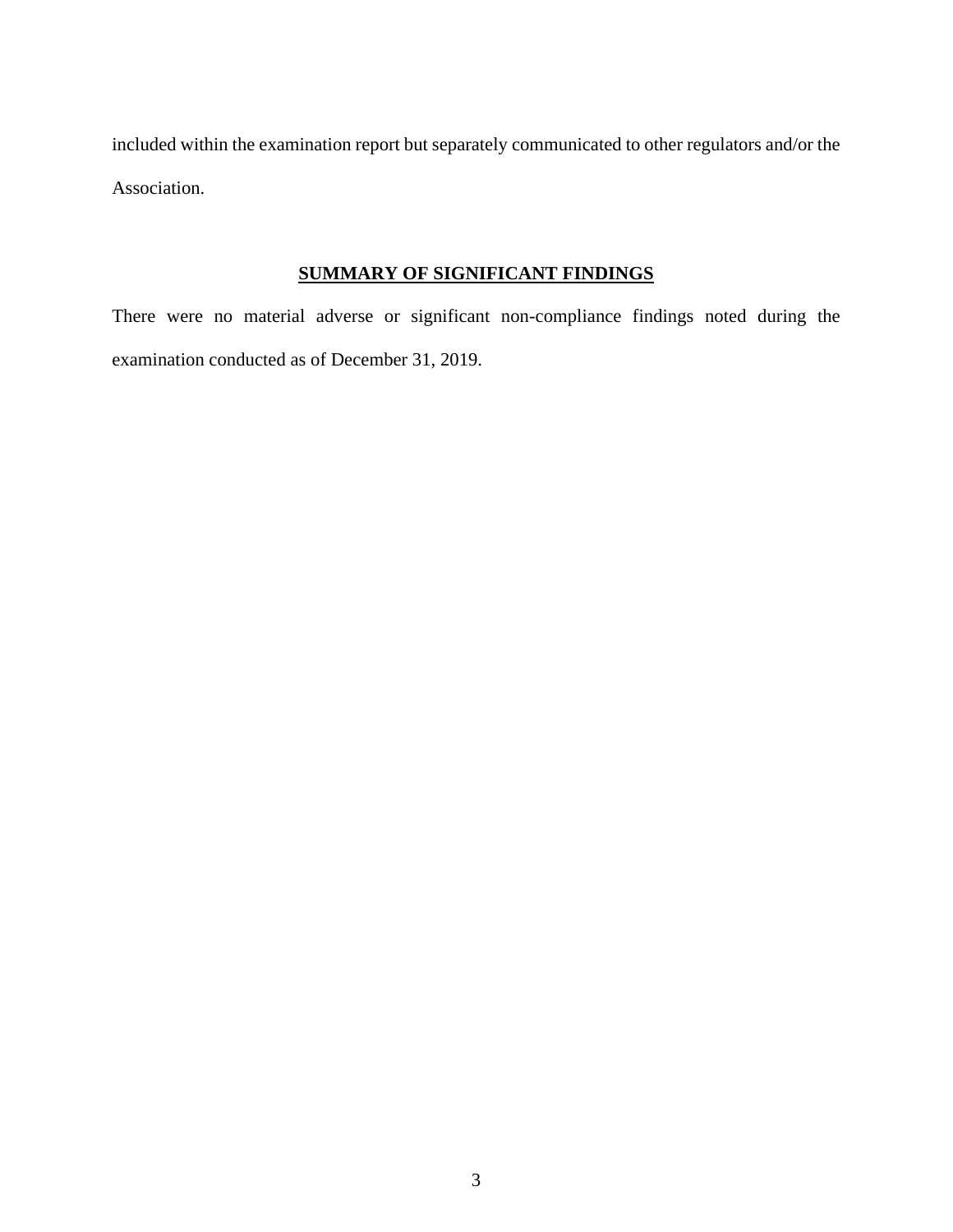included within the examination report but separately communicated to other regulators and/or the Association.

## **SUMMARY OF SIGNIFICANT FINDINGS**

There were no material adverse or significant non-compliance findings noted during the examination conducted as of December 31, 2019.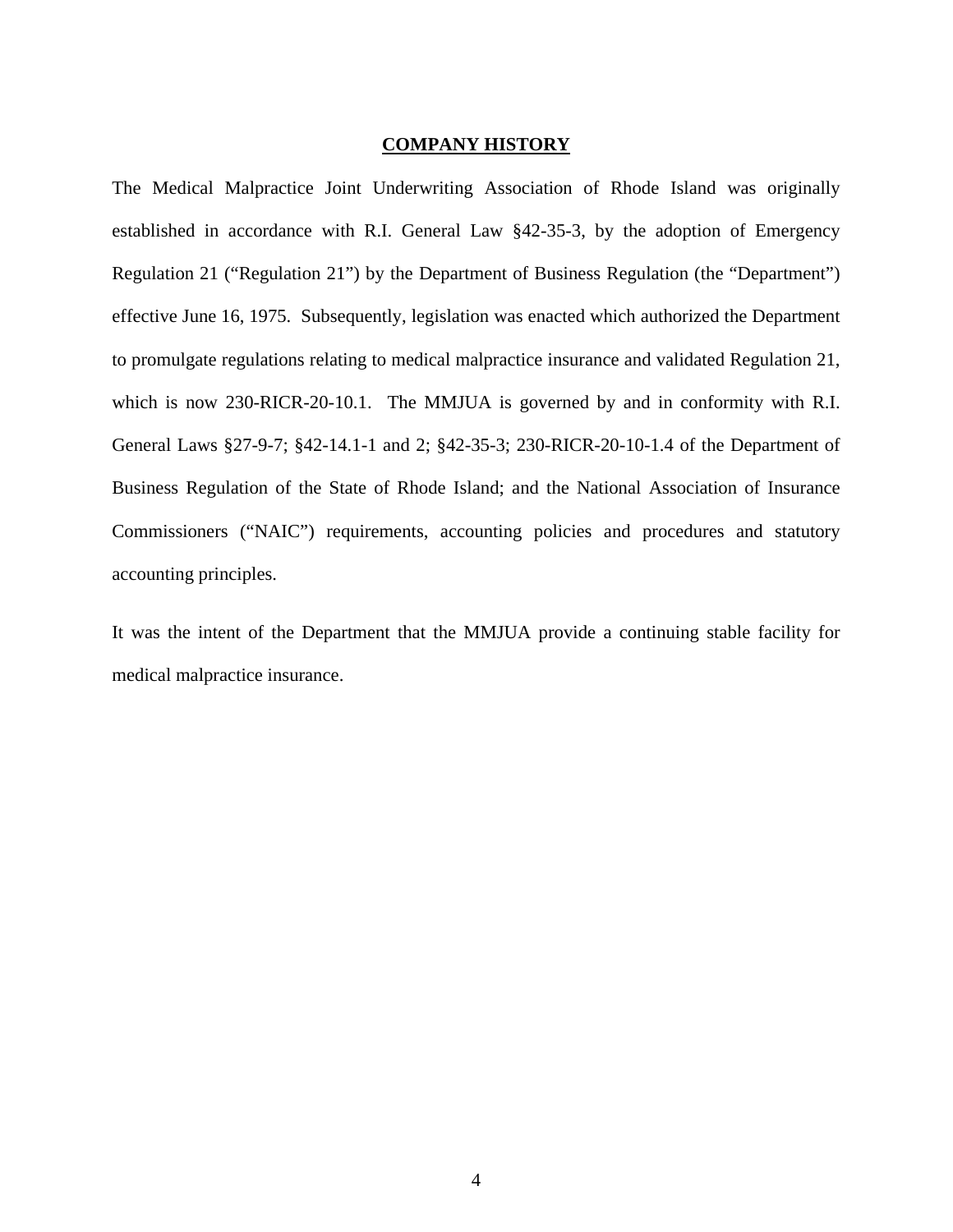## **COMPANY HISTORY**

The Medical Malpractice Joint Underwriting Association of Rhode Island was originally established in accordance with R.I. General Law §42-35-3, by the adoption of Emergency Regulation 21 ("Regulation 21") by the Department of Business Regulation (the "Department") effective June 16, 1975. Subsequently, legislation was enacted which authorized the Department to promulgate regulations relating to medical malpractice insurance and validated Regulation 21, which is now 230-RICR-20-10.1. The MMJUA is governed by and in conformity with R.I. General Laws §27-9-7; §42-14.1-1 and 2; §42-35-3; 230-RICR-20-10-1.4 of the Department of Business Regulation of the State of Rhode Island; and the National Association of Insurance Commissioners ("NAIC") requirements, accounting policies and procedures and statutory accounting principles.

It was the intent of the Department that the MMJUA provide a continuing stable facility for medical malpractice insurance.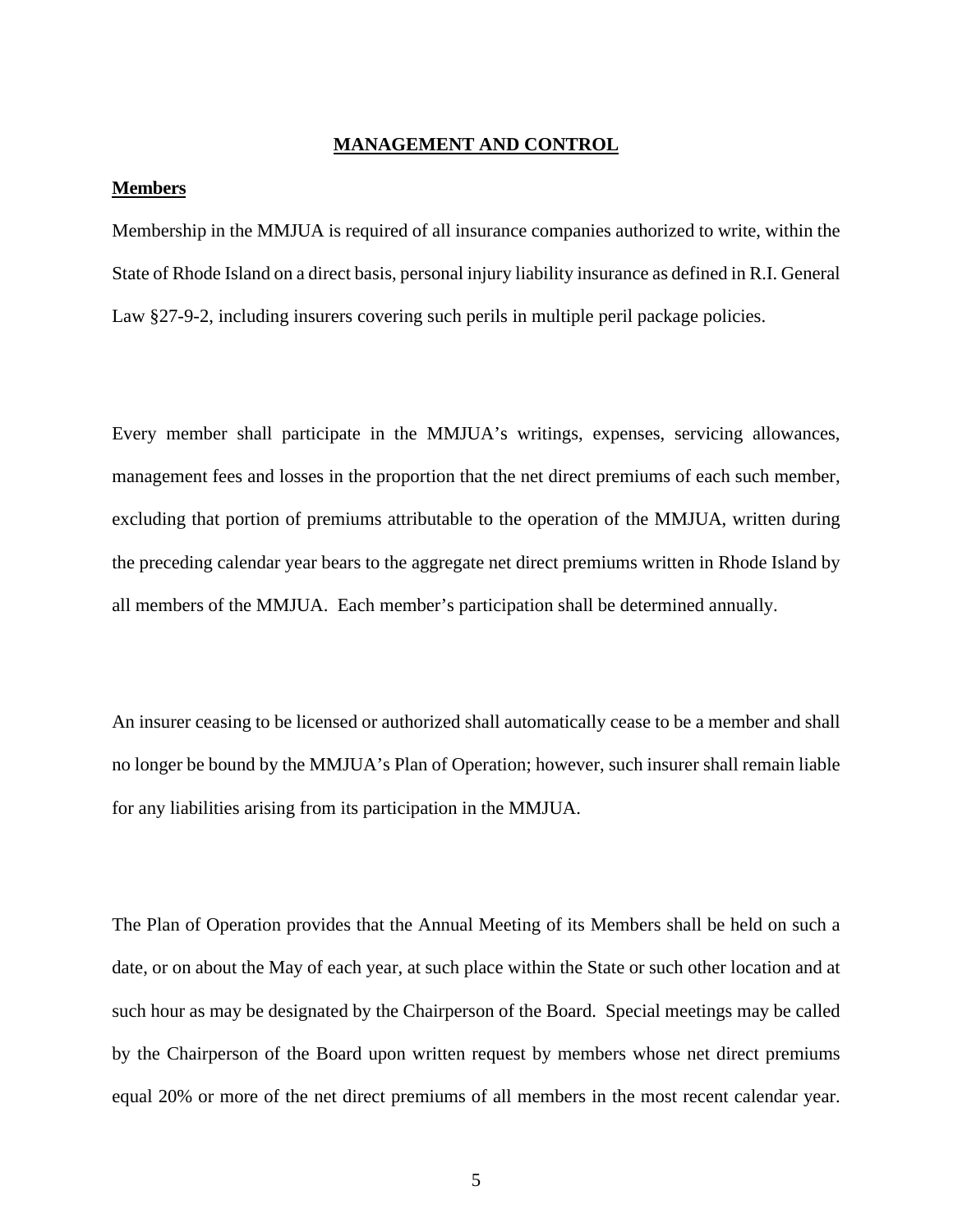## **MANAGEMENT AND CONTROL**

## **Members**

Membership in the MMJUA is required of all insurance companies authorized to write, within the State of Rhode Island on a direct basis, personal injury liability insurance as defined in R.I. General Law §27-9-2, including insurers covering such perils in multiple peril package policies.

Every member shall participate in the MMJUA's writings, expenses, servicing allowances, management fees and losses in the proportion that the net direct premiums of each such member, excluding that portion of premiums attributable to the operation of the MMJUA, written during the preceding calendar year bears to the aggregate net direct premiums written in Rhode Island by all members of the MMJUA. Each member's participation shall be determined annually.

An insurer ceasing to be licensed or authorized shall automatically cease to be a member and shall no longer be bound by the MMJUA's Plan of Operation; however, such insurer shall remain liable for any liabilities arising from its participation in the MMJUA.

The Plan of Operation provides that the Annual Meeting of its Members shall be held on such a date, or on about the May of each year, at such place within the State or such other location and at such hour as may be designated by the Chairperson of the Board. Special meetings may be called by the Chairperson of the Board upon written request by members whose net direct premiums equal 20% or more of the net direct premiums of all members in the most recent calendar year.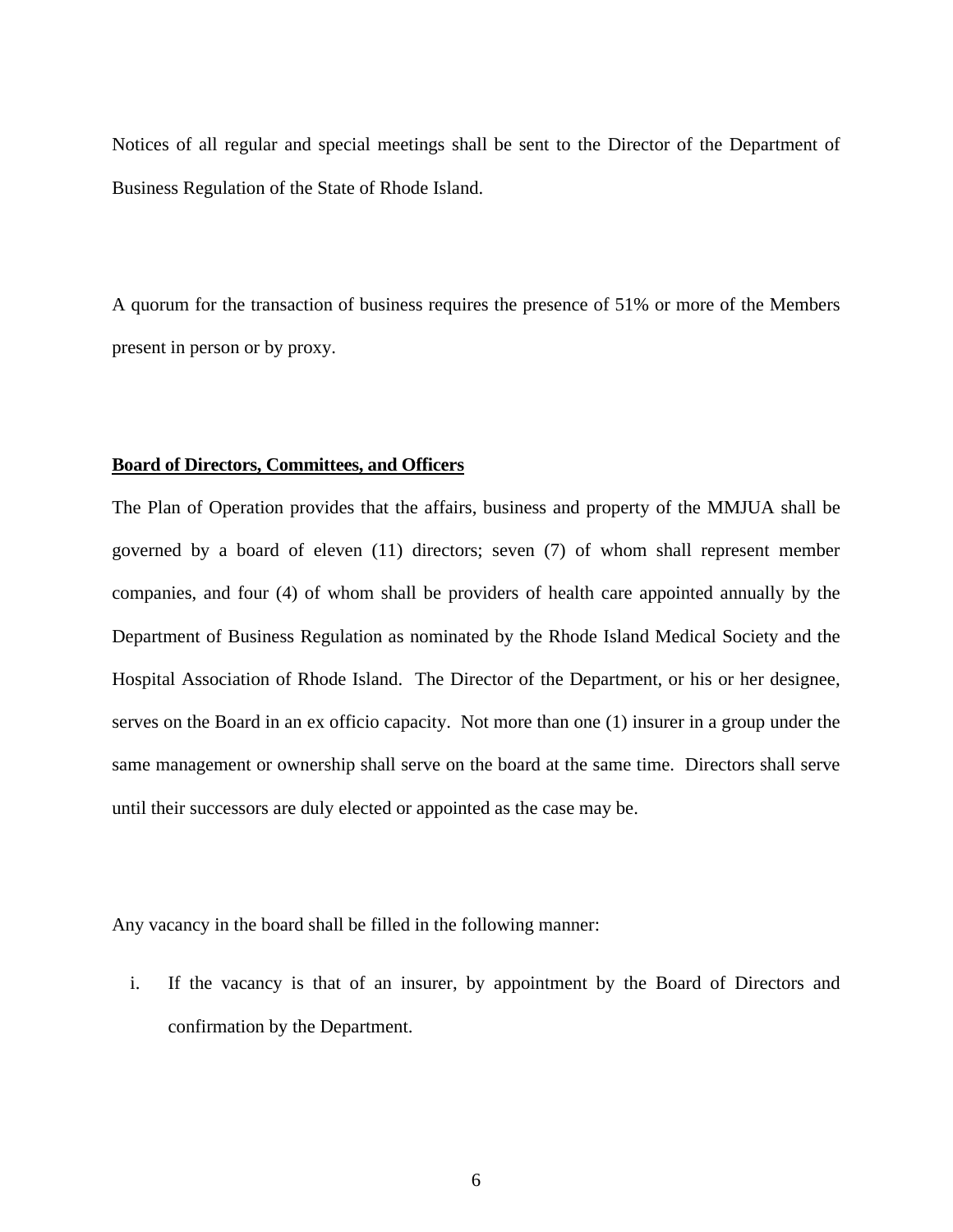Notices of all regular and special meetings shall be sent to the Director of the Department of Business Regulation of the State of Rhode Island.

A quorum for the transaction of business requires the presence of 51% or more of the Members present in person or by proxy.

#### **Board of Directors, Committees, and Officers**

The Plan of Operation provides that the affairs, business and property of the MMJUA shall be governed by a board of eleven (11) directors; seven (7) of whom shall represent member companies, and four (4) of whom shall be providers of health care appointed annually by the Department of Business Regulation as nominated by the Rhode Island Medical Society and the Hospital Association of Rhode Island. The Director of the Department, or his or her designee, serves on the Board in an ex officio capacity. Not more than one (1) insurer in a group under the same management or ownership shall serve on the board at the same time. Directors shall serve until their successors are duly elected or appointed as the case may be.

Any vacancy in the board shall be filled in the following manner:

i. If the vacancy is that of an insurer, by appointment by the Board of Directors and confirmation by the Department.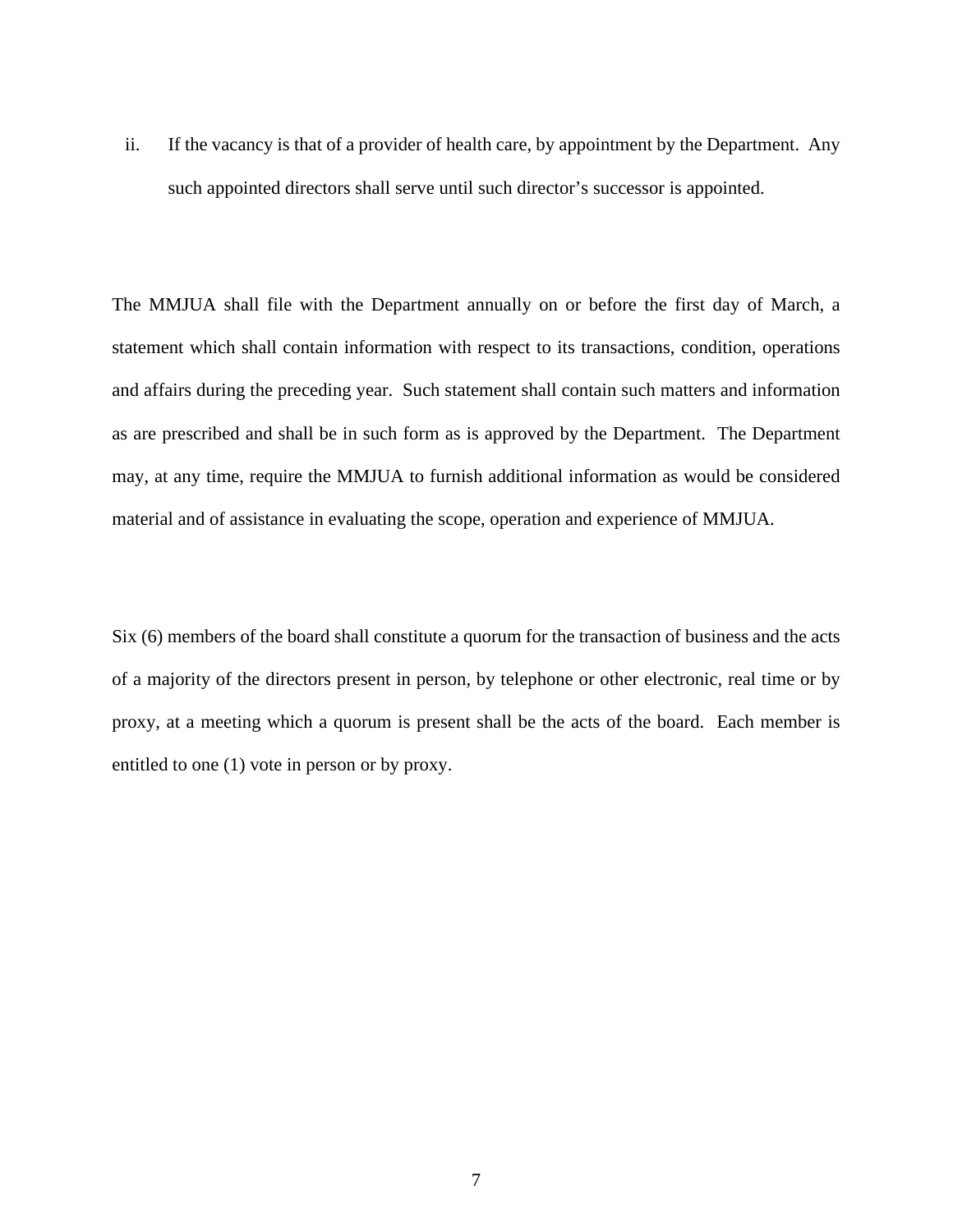ii. If the vacancy is that of a provider of health care, by appointment by the Department. Any such appointed directors shall serve until such director's successor is appointed.

The MMJUA shall file with the Department annually on or before the first day of March, a statement which shall contain information with respect to its transactions, condition, operations and affairs during the preceding year. Such statement shall contain such matters and information as are prescribed and shall be in such form as is approved by the Department. The Department may, at any time, require the MMJUA to furnish additional information as would be considered material and of assistance in evaluating the scope, operation and experience of MMJUA.

Six (6) members of the board shall constitute a quorum for the transaction of business and the acts of a majority of the directors present in person, by telephone or other electronic, real time or by proxy, at a meeting which a quorum is present shall be the acts of the board. Each member is entitled to one (1) vote in person or by proxy.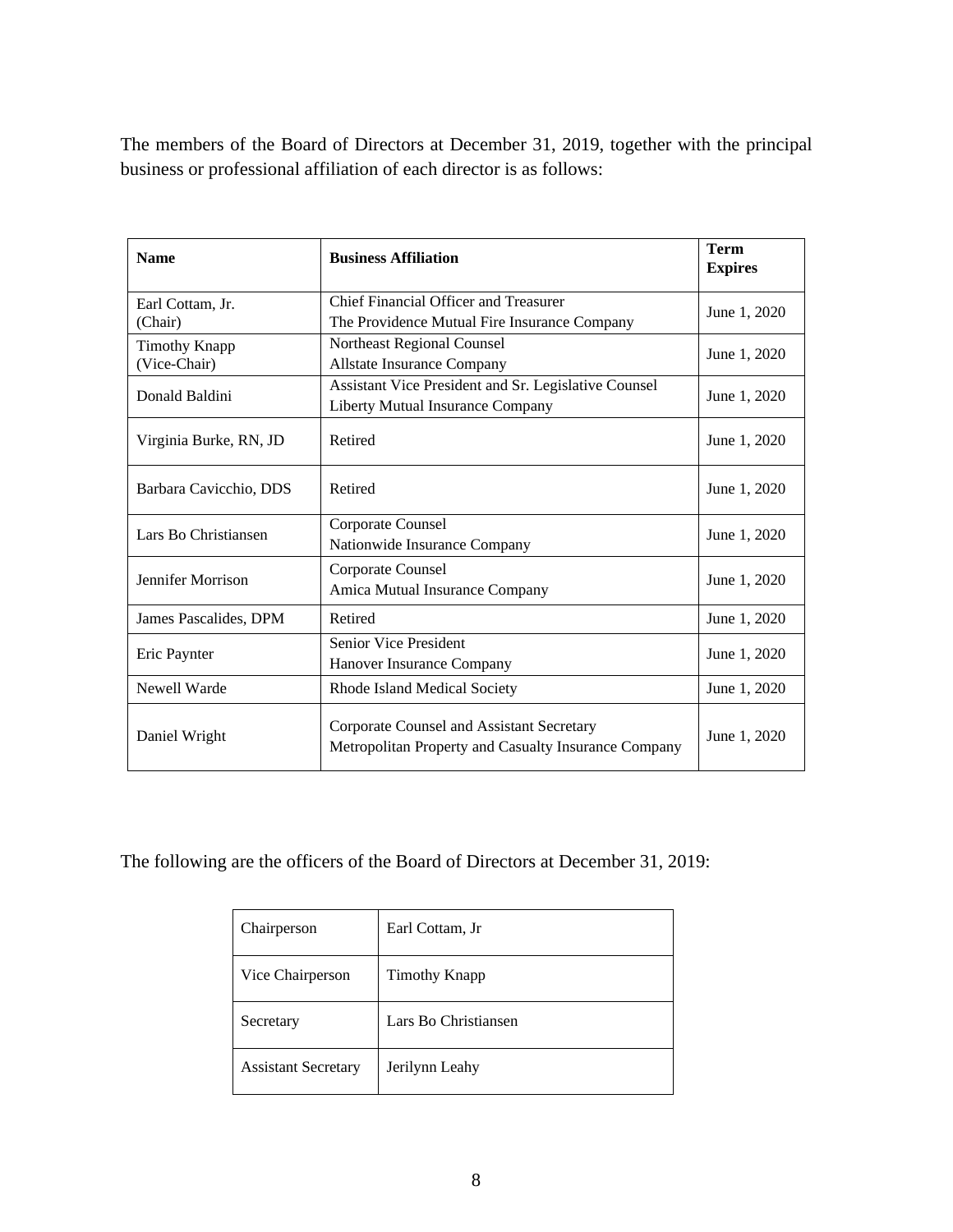The members of the Board of Directors at December 31, 2019, together with the principal business or professional affiliation of each director is as follows:

| <b>Name</b>                          | <b>Business Affiliation</b>                                                                       | <b>Term</b><br><b>Expires</b> |
|--------------------------------------|---------------------------------------------------------------------------------------------------|-------------------------------|
| Earl Cottam, Jr.<br>(Chair)          | Chief Financial Officer and Treasurer<br>The Providence Mutual Fire Insurance Company             | June 1, 2020                  |
| <b>Timothy Knapp</b><br>(Vice-Chair) | Northeast Regional Counsel<br>Allstate Insurance Company                                          | June 1, 2020                  |
| Donald Baldini                       | Assistant Vice President and Sr. Legislative Counsel<br>Liberty Mutual Insurance Company          | June 1, 2020                  |
| Virginia Burke, RN, JD               | Retired                                                                                           | June 1, 2020                  |
| Barbara Cavicchio, DDS               | Retired                                                                                           | June 1, 2020                  |
| Lars Bo Christiansen                 | Corporate Counsel<br>Nationwide Insurance Company                                                 | June 1, 2020                  |
| Jennifer Morrison                    | Corporate Counsel<br>Amica Mutual Insurance Company                                               | June 1, 2020                  |
| James Pascalides, DPM                | Retired                                                                                           | June 1, 2020                  |
| Eric Paynter                         | <b>Senior Vice President</b><br>Hanover Insurance Company                                         | June 1, 2020                  |
| Newell Warde                         | Rhode Island Medical Society                                                                      | June 1, 2020                  |
| Daniel Wright                        | Corporate Counsel and Assistant Secretary<br>Metropolitan Property and Casualty Insurance Company | June 1, 2020                  |

The following are the officers of the Board of Directors at December 31, 2019:

| Chairperson                | Earl Cottam, Jr      |
|----------------------------|----------------------|
| Vice Chairperson           | <b>Timothy Knapp</b> |
| Secretary                  | Lars Bo Christiansen |
| <b>Assistant Secretary</b> | Jerilynn Leahy       |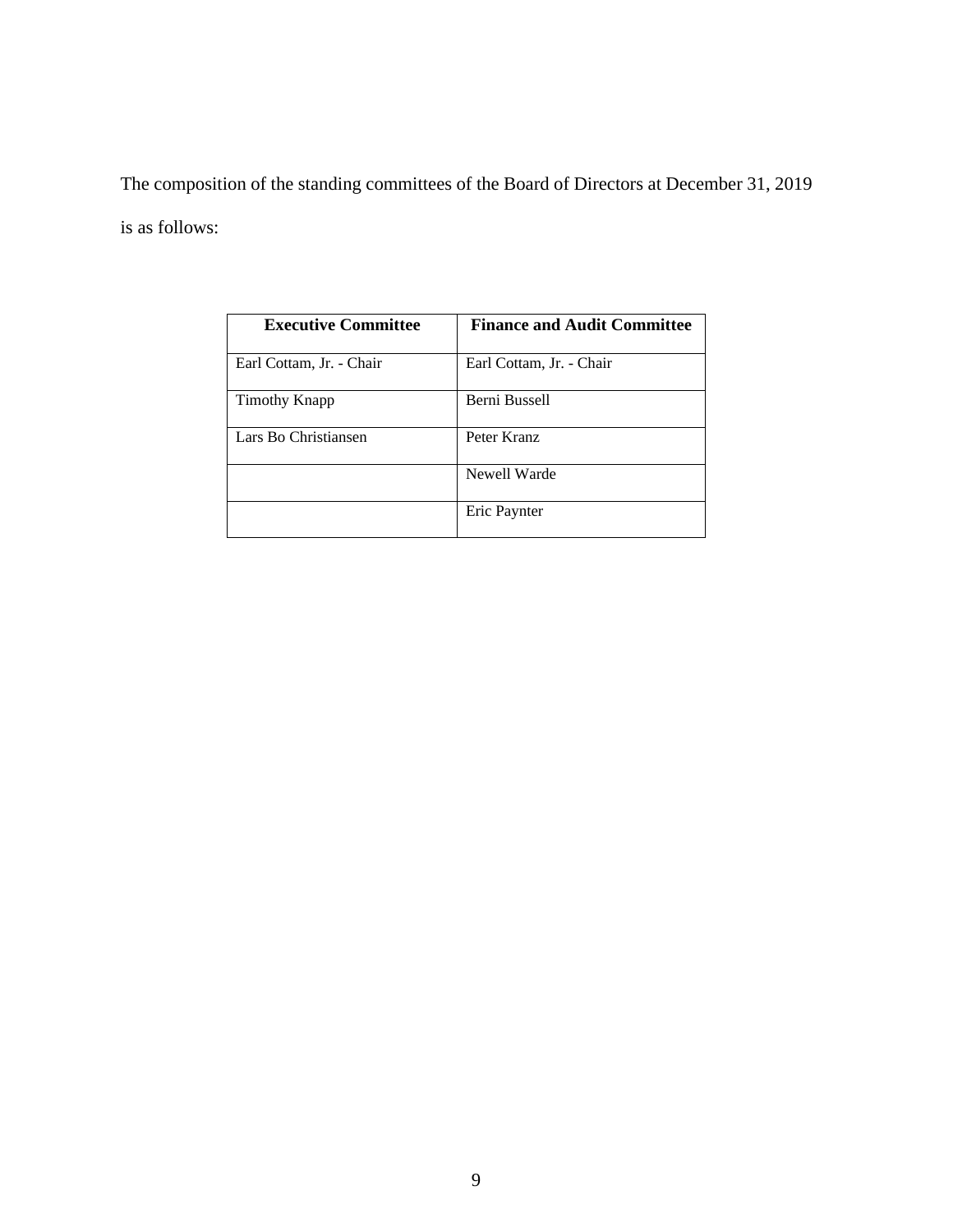The composition of the standing committees of the Board of Directors at December 31, 2019 is as follows:

| <b>Executive Committee</b> | <b>Finance and Audit Committee</b> |
|----------------------------|------------------------------------|
| Earl Cottam, Jr. - Chair   | Earl Cottam, Jr. - Chair           |
| Timothy Knapp              | Berni Bussell                      |
| Lars Bo Christiansen       | Peter Kranz                        |
|                            | Newell Warde                       |
|                            | Eric Paynter                       |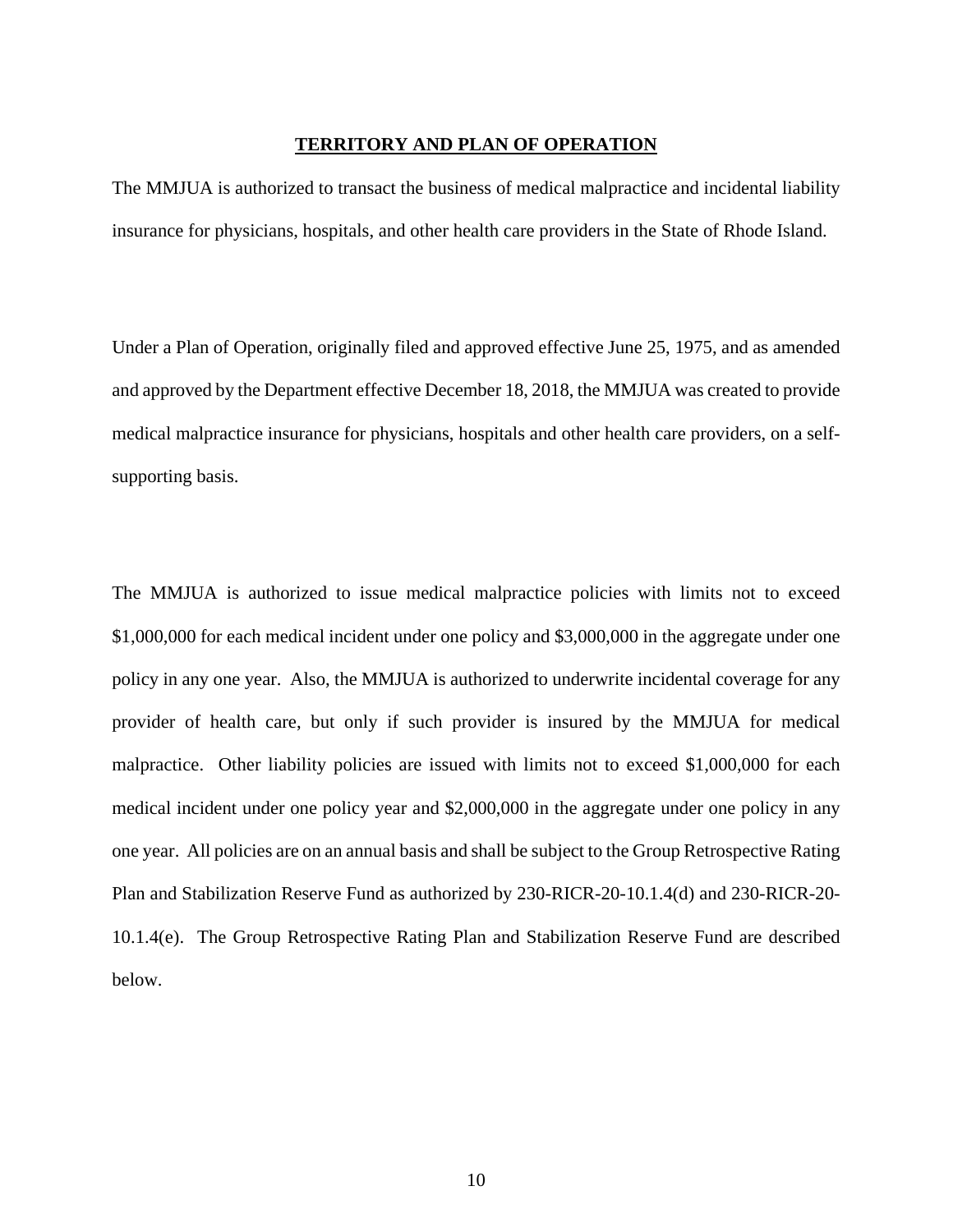## **TERRITORY AND PLAN OF OPERATION**

The MMJUA is authorized to transact the business of medical malpractice and incidental liability insurance for physicians, hospitals, and other health care providers in the State of Rhode Island.

Under a Plan of Operation, originally filed and approved effective June 25, 1975, and as amended and approved by the Department effective December 18, 2018, the MMJUA was created to provide medical malpractice insurance for physicians, hospitals and other health care providers, on a selfsupporting basis.

The MMJUA is authorized to issue medical malpractice policies with limits not to exceed \$1,000,000 for each medical incident under one policy and \$3,000,000 in the aggregate under one policy in any one year. Also, the MMJUA is authorized to underwrite incidental coverage for any provider of health care, but only if such provider is insured by the MMJUA for medical malpractice. Other liability policies are issued with limits not to exceed \$1,000,000 for each medical incident under one policy year and \$2,000,000 in the aggregate under one policy in any one year. All policies are on an annual basis and shall be subject to the Group Retrospective Rating Plan and Stabilization Reserve Fund as authorized by 230-RICR-20-10.1.4(d) and 230-RICR-20- 10.1.4(e). The Group Retrospective Rating Plan and Stabilization Reserve Fund are described below.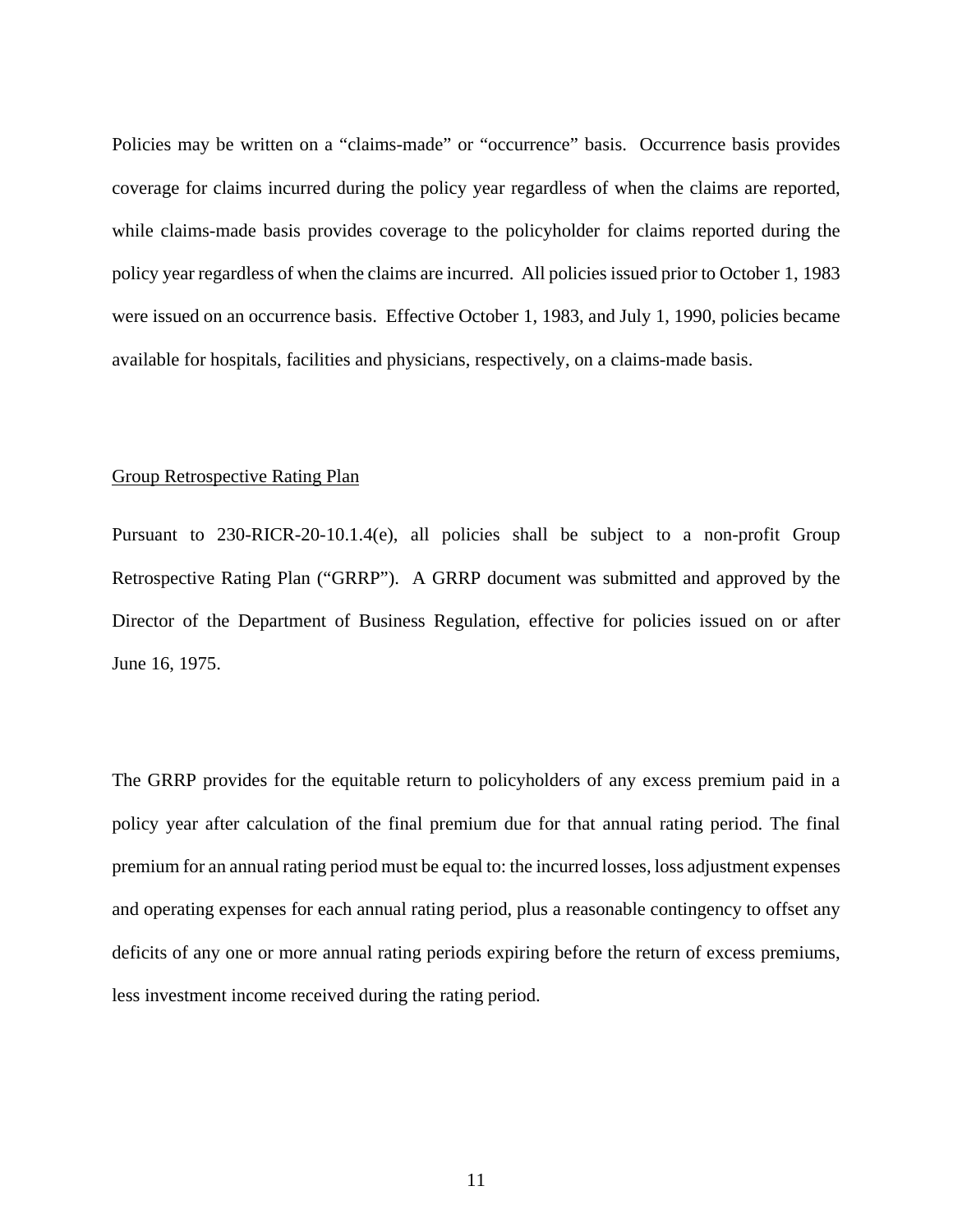Policies may be written on a "claims-made" or "occurrence" basis. Occurrence basis provides coverage for claims incurred during the policy year regardless of when the claims are reported, while claims-made basis provides coverage to the policyholder for claims reported during the policy year regardless of when the claims are incurred. All policies issued prior to October 1, 1983 were issued on an occurrence basis. Effective October 1, 1983, and July 1, 1990, policies became available for hospitals, facilities and physicians, respectively, on a claims-made basis.

## Group Retrospective Rating Plan

Pursuant to 230-RICR-20-10.1.4(e), all policies shall be subject to a non-profit Group Retrospective Rating Plan ("GRRP"). A GRRP document was submitted and approved by the Director of the Department of Business Regulation, effective for policies issued on or after June 16, 1975.

The GRRP provides for the equitable return to policyholders of any excess premium paid in a policy year after calculation of the final premium due for that annual rating period. The final premium for an annual rating period must be equal to: the incurred losses, loss adjustment expenses and operating expenses for each annual rating period, plus a reasonable contingency to offset any deficits of any one or more annual rating periods expiring before the return of excess premiums, less investment income received during the rating period.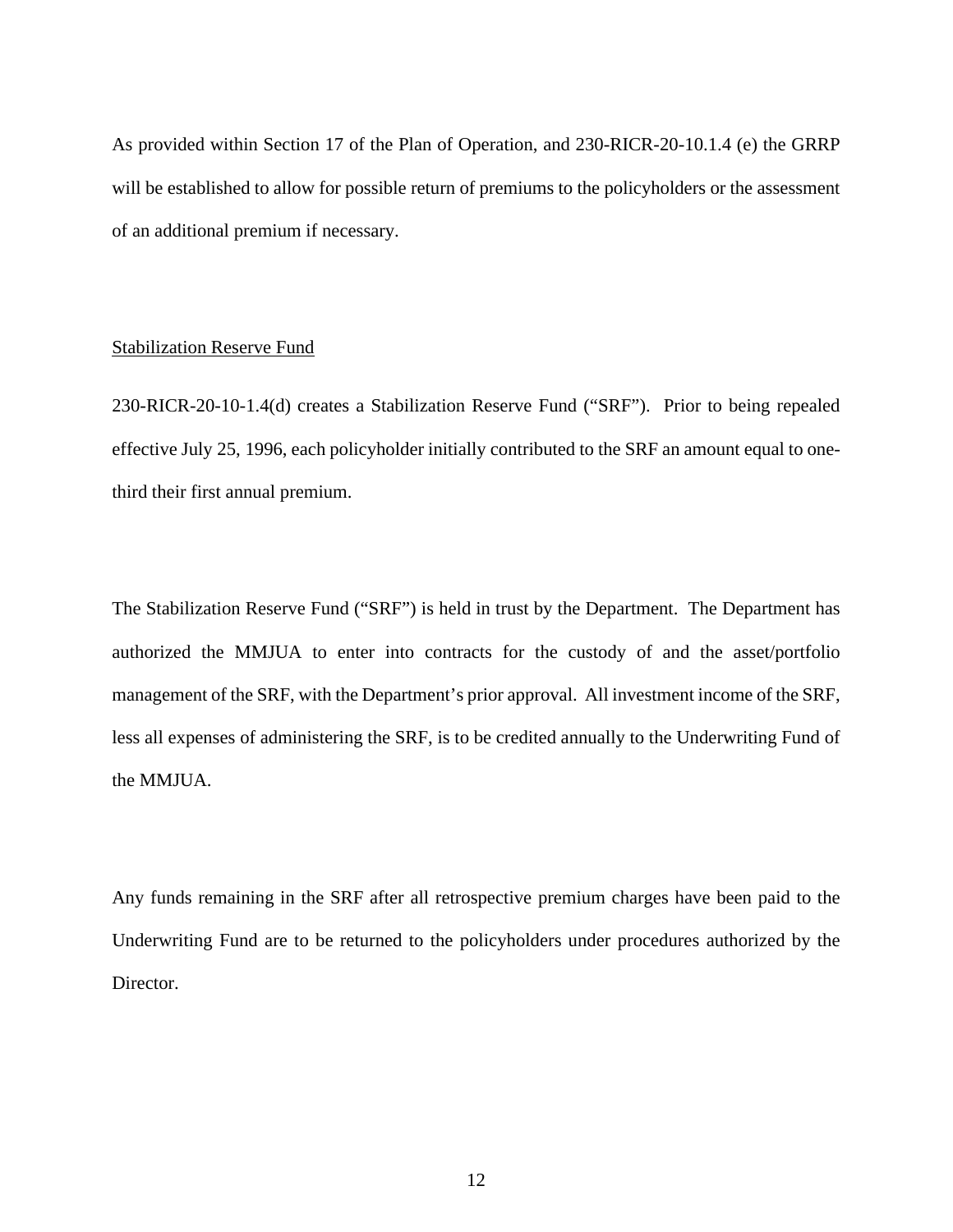As provided within Section 17 of the Plan of Operation, and 230-RICR-20-10.1.4 (e) the GRRP will be established to allow for possible return of premiums to the policyholders or the assessment of an additional premium if necessary.

#### Stabilization Reserve Fund

230-RICR-20-10-1.4(d) creates a Stabilization Reserve Fund ("SRF"). Prior to being repealed effective July 25, 1996, each policyholder initially contributed to the SRF an amount equal to onethird their first annual premium.

The Stabilization Reserve Fund ("SRF") is held in trust by the Department. The Department has authorized the MMJUA to enter into contracts for the custody of and the asset/portfolio management of the SRF, with the Department's prior approval. All investment income of the SRF, less all expenses of administering the SRF, is to be credited annually to the Underwriting Fund of the MMJUA.

Any funds remaining in the SRF after all retrospective premium charges have been paid to the Underwriting Fund are to be returned to the policyholders under procedures authorized by the Director.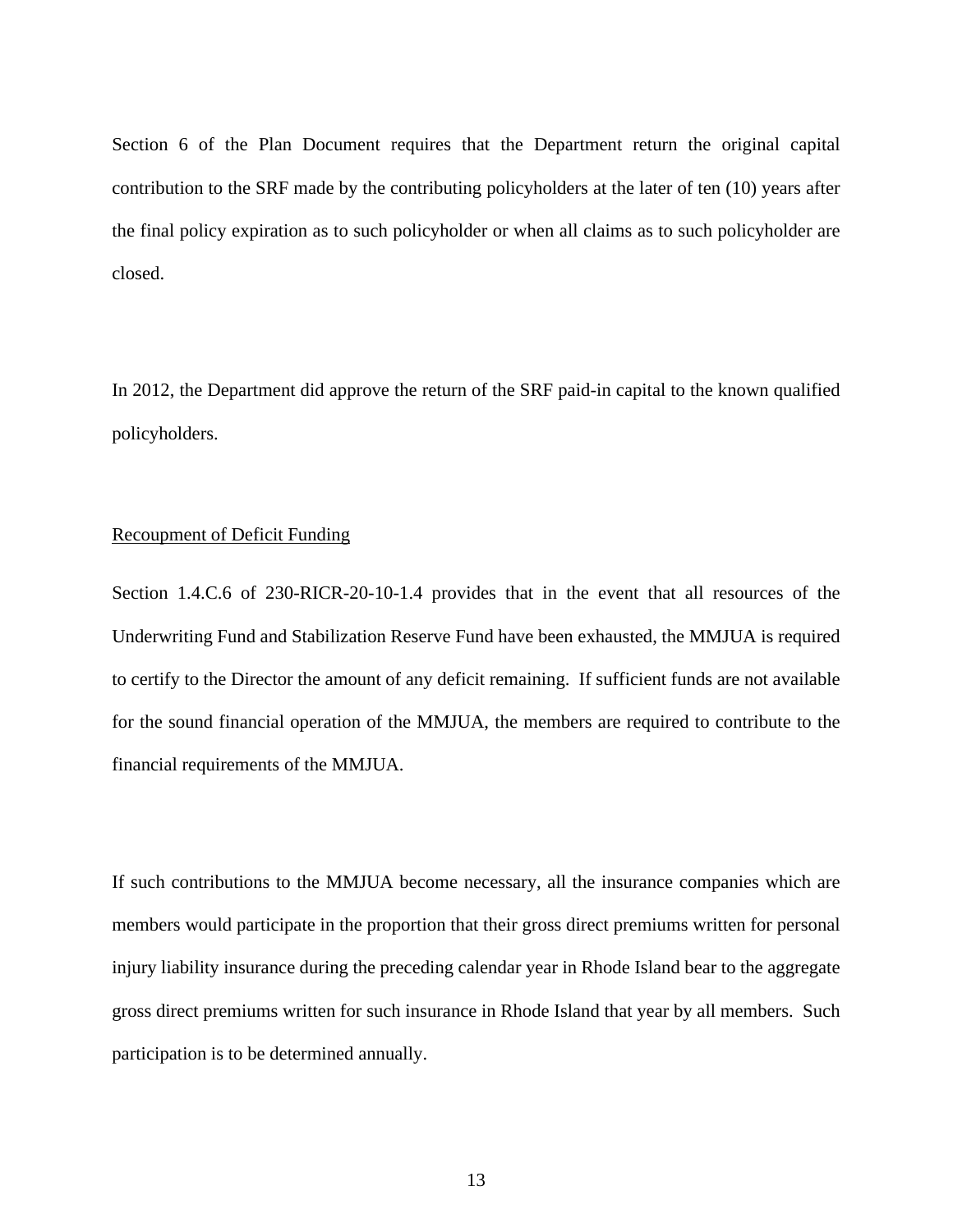Section 6 of the Plan Document requires that the Department return the original capital contribution to the SRF made by the contributing policyholders at the later of ten (10) years after the final policy expiration as to such policyholder or when all claims as to such policyholder are closed.

In 2012, the Department did approve the return of the SRF paid-in capital to the known qualified policyholders.

## Recoupment of Deficit Funding

Section 1.4.C.6 of 230-RICR-20-10-1.4 provides that in the event that all resources of the Underwriting Fund and Stabilization Reserve Fund have been exhausted, the MMJUA is required to certify to the Director the amount of any deficit remaining. If sufficient funds are not available for the sound financial operation of the MMJUA, the members are required to contribute to the financial requirements of the MMJUA.

If such contributions to the MMJUA become necessary, all the insurance companies which are members would participate in the proportion that their gross direct premiums written for personal injury liability insurance during the preceding calendar year in Rhode Island bear to the aggregate gross direct premiums written for such insurance in Rhode Island that year by all members. Such participation is to be determined annually.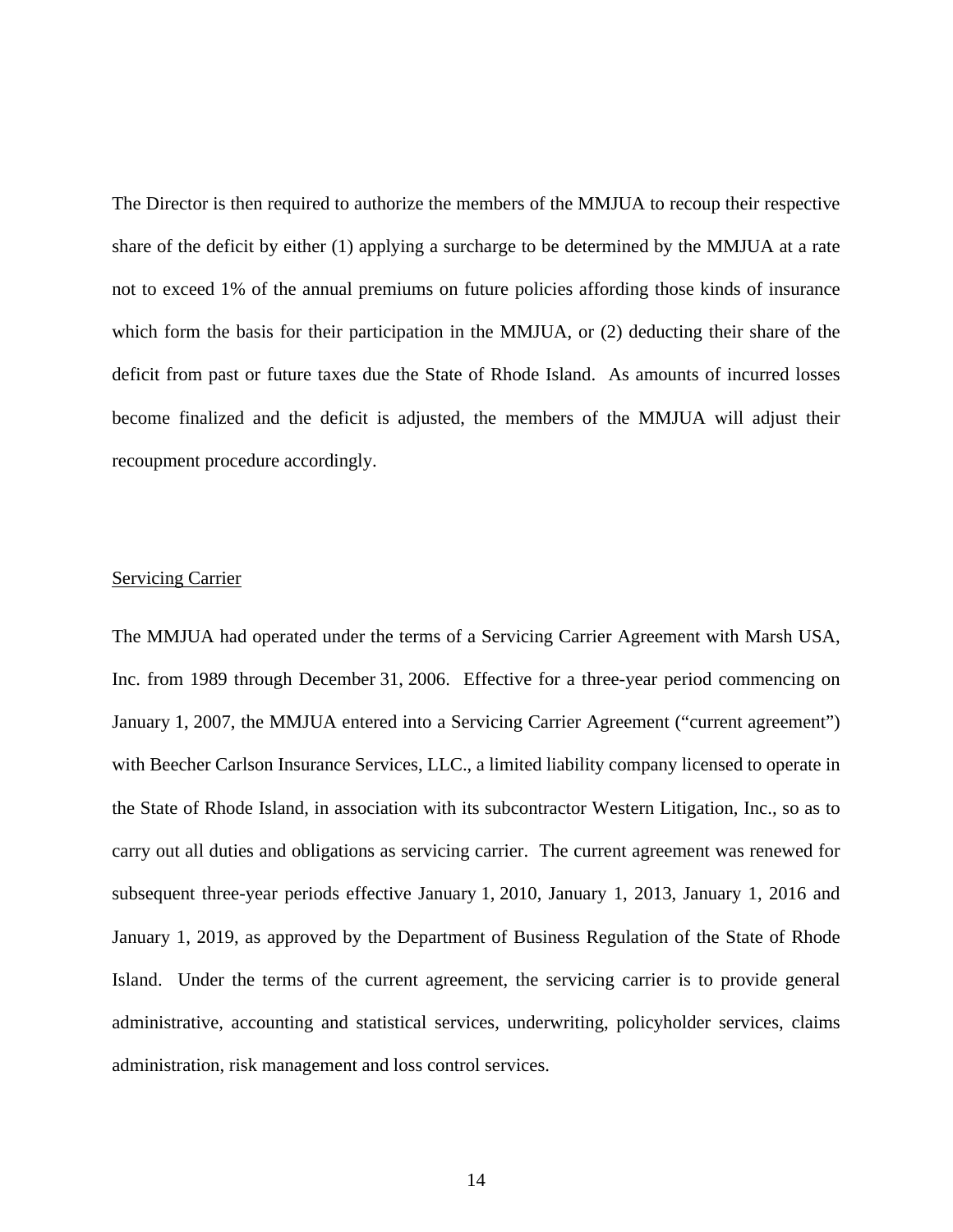The Director is then required to authorize the members of the MMJUA to recoup their respective share of the deficit by either (1) applying a surcharge to be determined by the MMJUA at a rate not to exceed 1% of the annual premiums on future policies affording those kinds of insurance which form the basis for their participation in the MMJUA, or (2) deducting their share of the deficit from past or future taxes due the State of Rhode Island. As amounts of incurred losses become finalized and the deficit is adjusted, the members of the MMJUA will adjust their recoupment procedure accordingly.

## **Servicing Carrier**

The MMJUA had operated under the terms of a Servicing Carrier Agreement with Marsh USA, Inc. from 1989 through December 31, 2006. Effective for a three-year period commencing on January 1, 2007, the MMJUA entered into a Servicing Carrier Agreement ("current agreement") with Beecher Carlson Insurance Services, LLC., a limited liability company licensed to operate in the State of Rhode Island, in association with its subcontractor Western Litigation, Inc., so as to carry out all duties and obligations as servicing carrier. The current agreement was renewed for subsequent three-year periods effective January 1, 2010, January 1, 2013, January 1, 2016 and January 1, 2019, as approved by the Department of Business Regulation of the State of Rhode Island. Under the terms of the current agreement, the servicing carrier is to provide general administrative, accounting and statistical services, underwriting, policyholder services, claims administration, risk management and loss control services.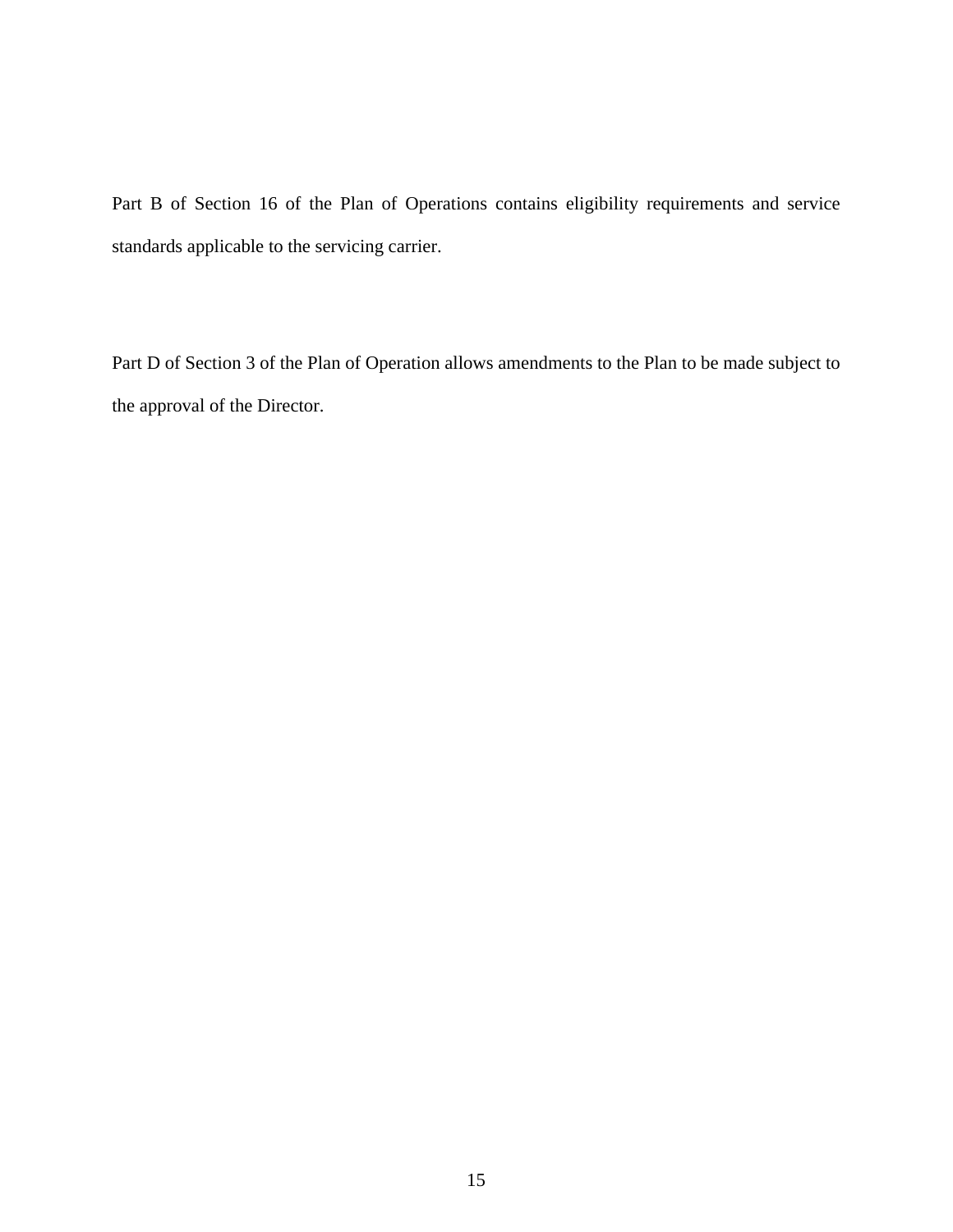Part B of Section 16 of the Plan of Operations contains eligibility requirements and service standards applicable to the servicing carrier.

Part D of Section 3 of the Plan of Operation allows amendments to the Plan to be made subject to the approval of the Director.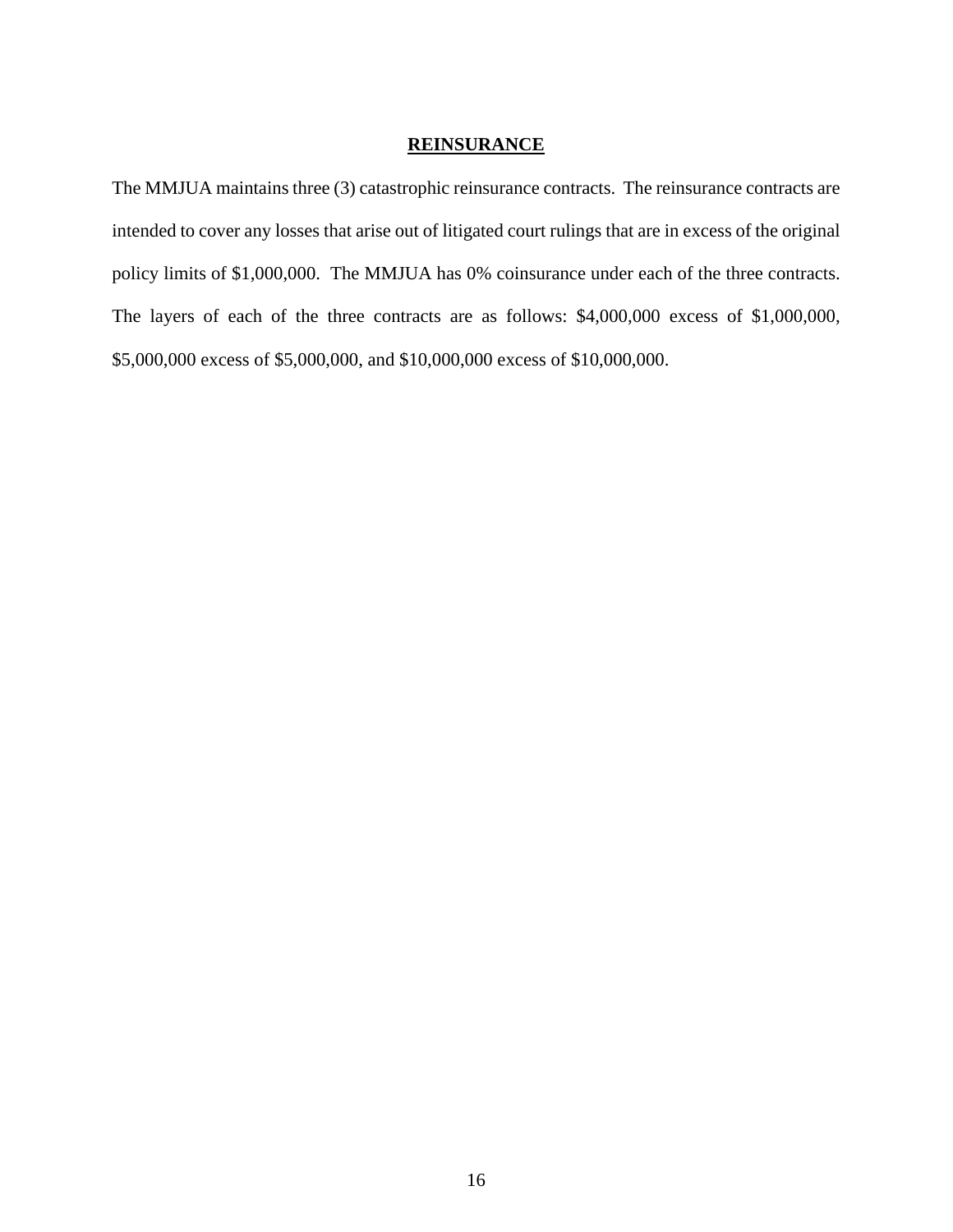## **REINSURANCE**

The MMJUA maintains three (3) catastrophic reinsurance contracts. The reinsurance contracts are intended to cover any losses that arise out of litigated court rulings that are in excess of the original policy limits of \$1,000,000. The MMJUA has 0% coinsurance under each of the three contracts. The layers of each of the three contracts are as follows: \$4,000,000 excess of \$1,000,000, \$5,000,000 excess of \$5,000,000, and \$10,000,000 excess of \$10,000,000.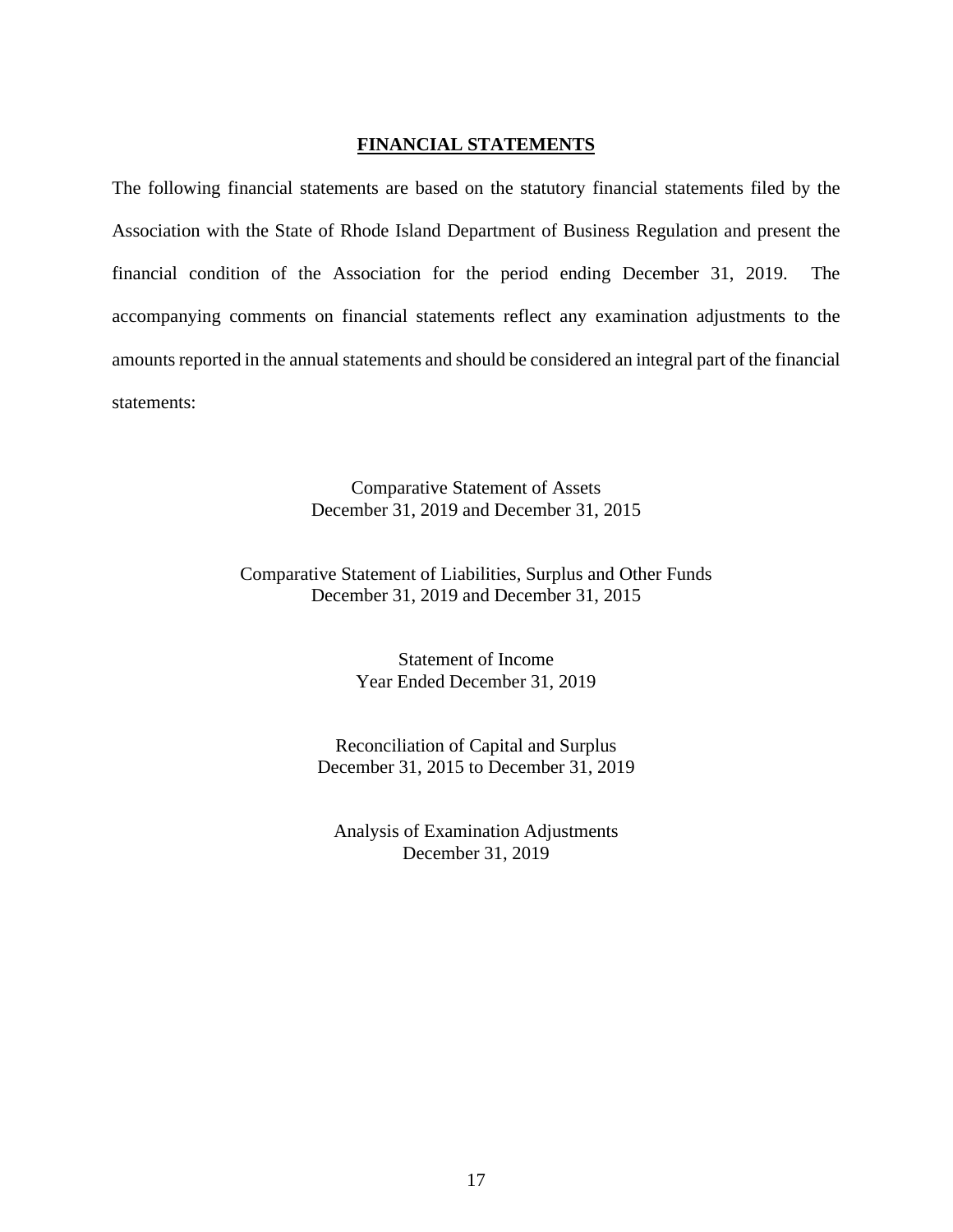## **FINANCIAL STATEMENTS**

The following financial statements are based on the statutory financial statements filed by the Association with the State of Rhode Island Department of Business Regulation and present the financial condition of the Association for the period ending December 31, 2019. The accompanying comments on financial statements reflect any examination adjustments to the amounts reported in the annual statements and should be considered an integral part of the financial statements:

> Comparative Statement of Assets December 31, 2019 and December 31, 2015

Comparative Statement of Liabilities, Surplus and Other Funds December 31, 2019 and December 31, 2015

> Statement of Income Year Ended December 31, 2019

Reconciliation of Capital and Surplus December 31, 2015 to December 31, 2019

Analysis of Examination Adjustments December 31, 2019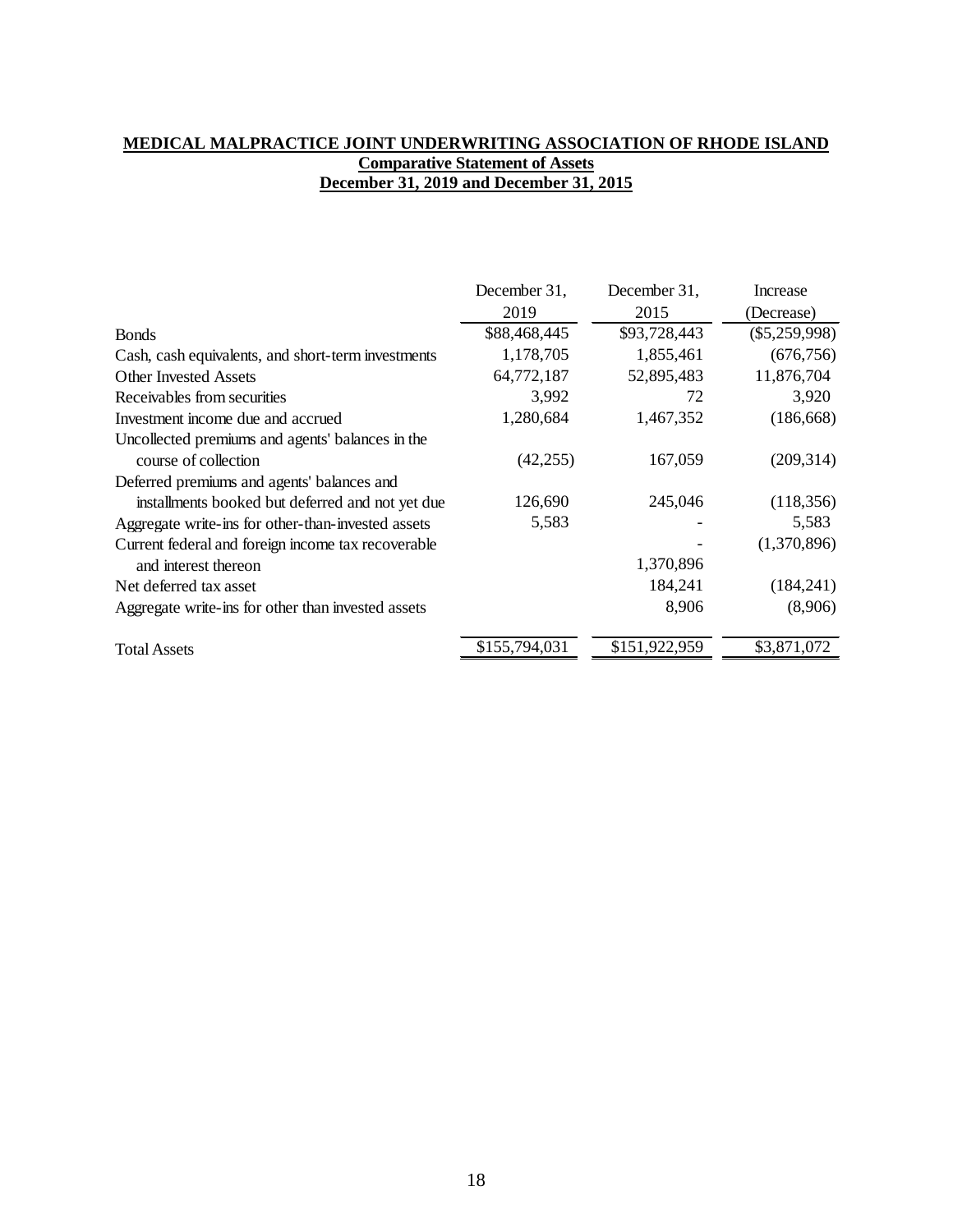## **MEDICAL MALPRACTICE JOINT UNDERWRITING ASSOCIATION OF RHODE ISLAND Comparative Statement of Assets December 31, 2019 and December 31, 2015**

|                                                    | December 31,  | December 31,  | <b>Increase</b> |
|----------------------------------------------------|---------------|---------------|-----------------|
|                                                    | 2019          | 2015          | (Decrease)      |
| <b>Bonds</b>                                       | \$88,468,445  | \$93,728,443  | $(\$5,259,998)$ |
| Cash, cash equivalents, and short-term investments | 1,178,705     | 1,855,461     | (676, 756)      |
| <b>Other Invested Assets</b>                       | 64,772,187    | 52,895,483    | 11,876,704      |
| Receivables from securities                        | 3,992         | 72            | 3,920           |
| Investment income due and accrued                  | 1,280,684     | 1,467,352     | (186, 668)      |
| Uncollected premiums and agents' balances in the   |               |               |                 |
| course of collection                               | (42, 255)     | 167,059       | (209, 314)      |
| Deferred premiums and agents' balances and         |               |               |                 |
| installments booked but deferred and not yet due   | 126,690       | 245,046       | (118, 356)      |
| Aggregate write-ins for other-than-invested assets | 5,583         |               | 5,583           |
| Current federal and foreign income tax recoverable |               |               | (1,370,896)     |
| and interest thereon                               |               | 1,370,896     |                 |
| Net deferred tax asset                             |               | 184,241       | (184, 241)      |
| Aggregate write-ins for other than invested assets |               | 8,906         | (8,906)         |
| <b>Total Assets</b>                                | \$155,794,031 | \$151,922,959 | \$3,871,072     |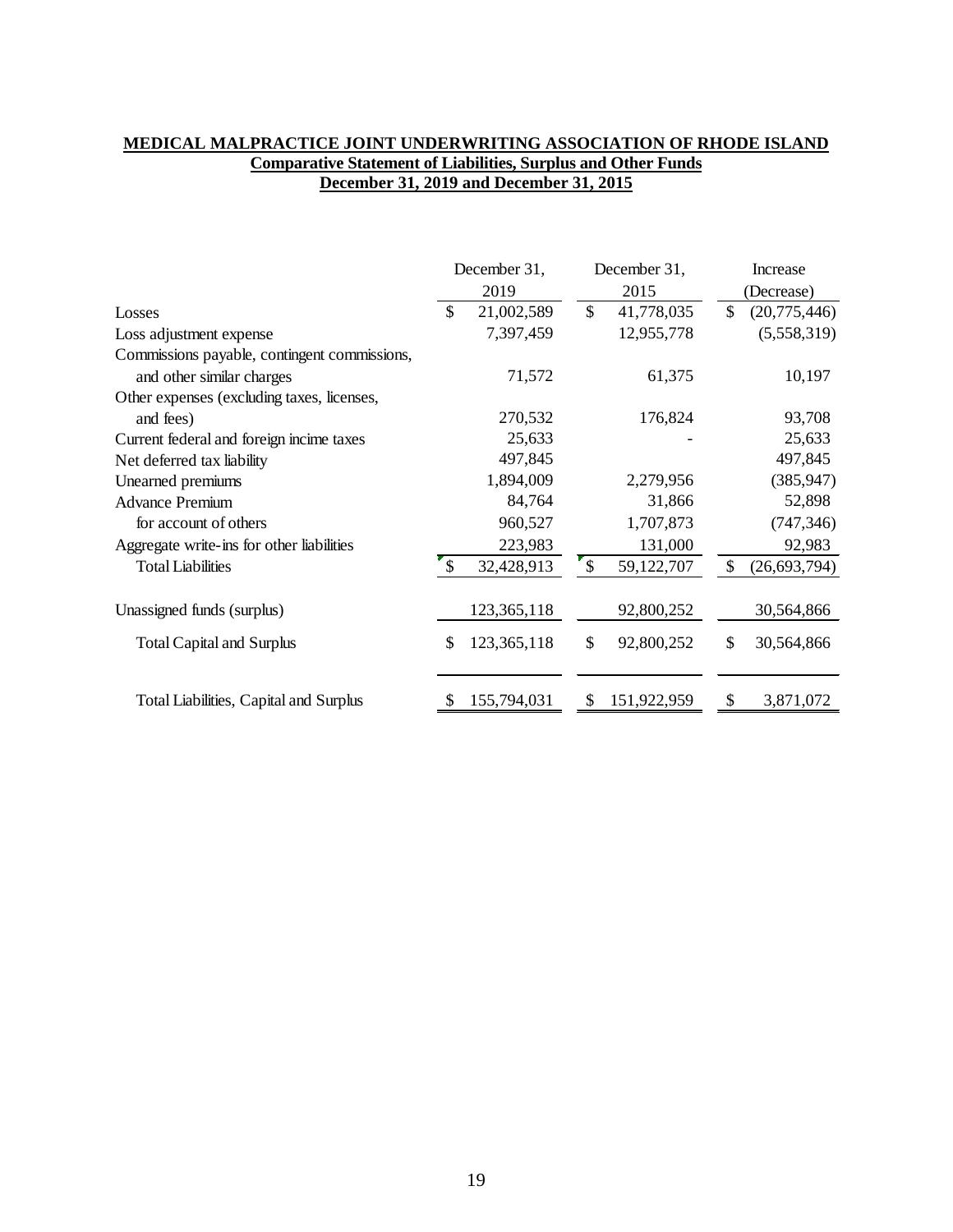## **MEDICAL MALPRACTICE JOINT UNDERWRITING ASSOCIATION OF RHODE ISLAND Comparative Statement of Liabilities, Surplus and Other Funds December 31, 2019 and December 31, 2015**

|                                              | December 31, |             |               | December 31, |               | Increase       |  |
|----------------------------------------------|--------------|-------------|---------------|--------------|---------------|----------------|--|
|                                              |              | 2019        |               | 2015         |               | (Decrease)     |  |
| Losses                                       | \$           | 21,002,589  | $\mathcal{S}$ | 41,778,035   | $\mathcal{S}$ | (20,775,446)   |  |
| Loss adjustment expense                      |              | 7,397,459   |               | 12,955,778   |               | (5,558,319)    |  |
| Commissions payable, contingent commissions, |              |             |               |              |               |                |  |
| and other similar charges                    |              | 71,572      |               | 61,375       |               | 10,197         |  |
| Other expenses (excluding taxes, licenses,   |              |             |               |              |               |                |  |
| and fees)                                    |              | 270,532     |               | 176,824      |               | 93,708         |  |
| Current federal and foreign incime taxes     |              | 25,633      |               |              |               | 25,633         |  |
| Net deferred tax liability                   |              | 497,845     |               |              |               | 497,845        |  |
| Unearned premiums                            |              | 1,894,009   |               | 2,279,956    |               | (385, 947)     |  |
| <b>Advance Premium</b>                       |              | 84,764      |               | 31,866       |               | 52,898         |  |
| for account of others                        |              | 960,527     |               | 1,707,873    |               | (747, 346)     |  |
| Aggregate write-ins for other liabilities    |              | 223,983     |               | 131,000      |               | 92,983         |  |
| <b>Total Liabilities</b>                     | $\mathbb{S}$ | 32,428,913  | $\mathcal{S}$ | 59,122,707   | <sup>\$</sup> | (26, 693, 794) |  |
| Unassigned funds (surplus)                   |              | 123,365,118 |               | 92,800,252   |               | 30,564,866     |  |
| <b>Total Capital and Surplus</b>             | \$           | 123,365,118 | \$            | 92,800,252   | \$            | 30,564,866     |  |
|                                              |              |             |               |              |               |                |  |
| Total Liabilities, Capital and Surplus       |              | 155,794,031 | S             | 151,922,959  | S             | 3,871,072      |  |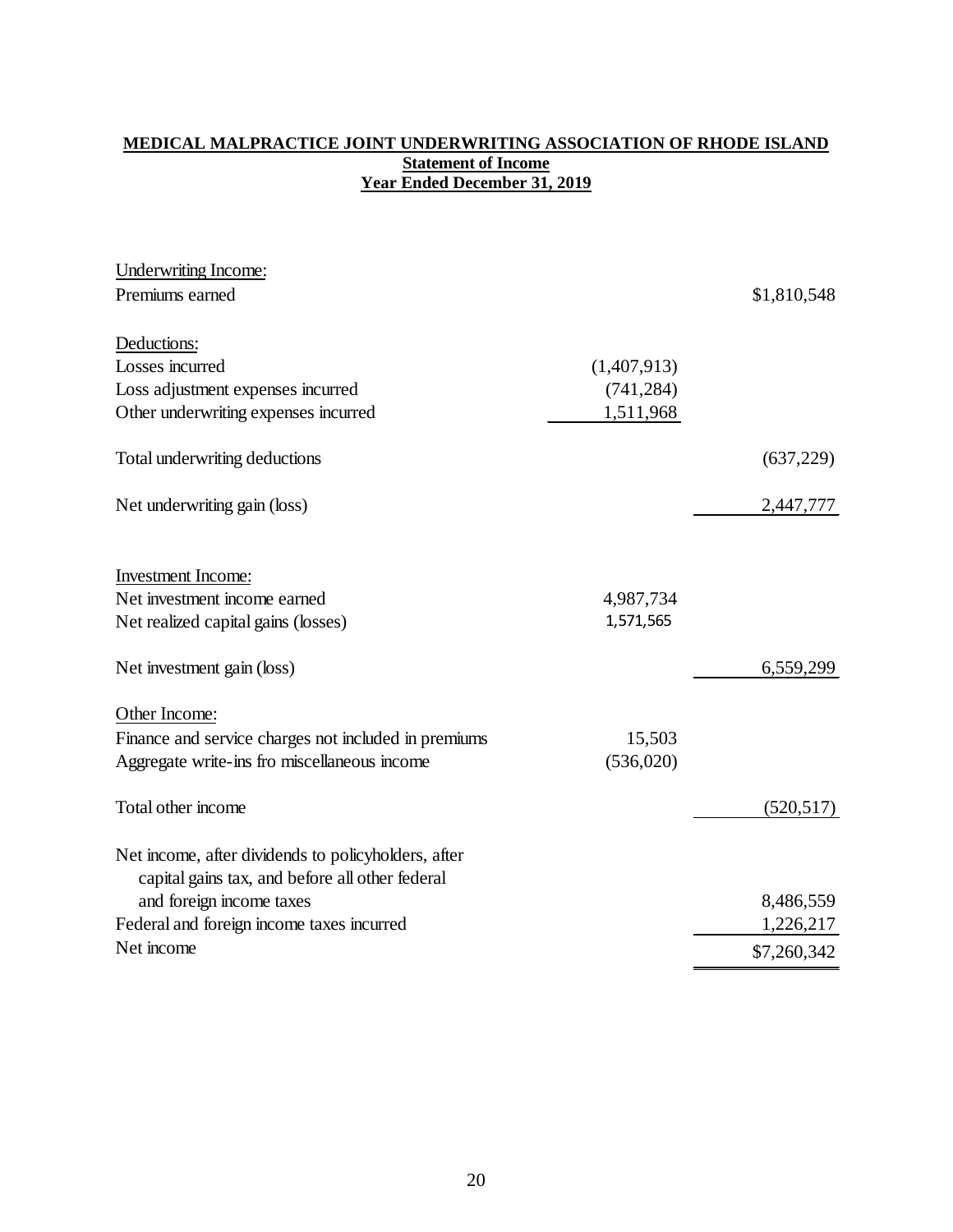## **MEDICAL MALPRACTICE JOINT UNDERWRITING ASSOCIATION OF RHODE ISLAND Statement of Income Year Ended December 31, 2019**

| <b>Underwriting Income:</b>                          |             |             |
|------------------------------------------------------|-------------|-------------|
| Premiums earned                                      |             | \$1,810,548 |
| Deductions:                                          |             |             |
| Losses incurred                                      | (1,407,913) |             |
| Loss adjustment expenses incurred                    | (741, 284)  |             |
| Other underwriting expenses incurred                 | 1,511,968   |             |
| Total underwriting deductions                        |             | (637, 229)  |
| Net underwriting gain (loss)                         |             | 2,447,777   |
| Investment Income:                                   |             |             |
| Net investment income earned                         | 4,987,734   |             |
| Net realized capital gains (losses)                  | 1,571,565   |             |
| Net investment gain (loss)                           |             | 6,559,299   |
| Other Income:                                        |             |             |
| Finance and service charges not included in premiums | 15,503      |             |
| Aggregate write-ins fro miscellaneous income         | (536,020)   |             |
| Total other income                                   |             | (520, 517)  |
| Net income, after dividends to policyholders, after  |             |             |
| capital gains tax, and before all other federal      |             |             |
| and foreign income taxes                             |             | 8,486,559   |
| Federal and foreign income taxes incurred            |             | 1,226,217   |
| Net income                                           |             | \$7,260,342 |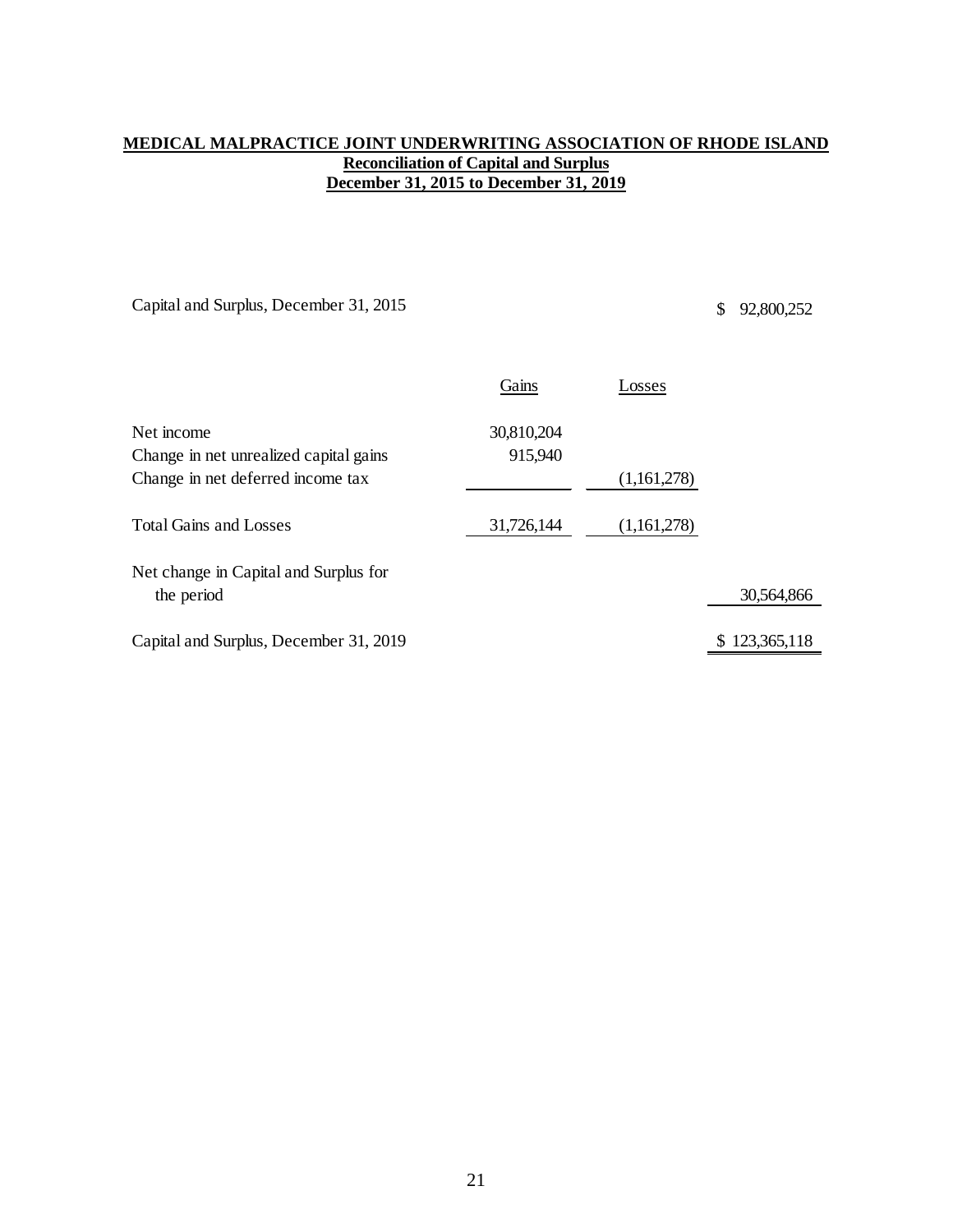## **MEDICAL MALPRACTICE JOINT UNDERWRITING ASSOCIATION OF RHODE ISLAND Reconciliation of Capital and Surplus December 31, 2015 to December 31, 2019**

Capital and Surplus, December 31, 2015 \$ 92,800,252

|                                        | Gains      | Losses      |               |
|----------------------------------------|------------|-------------|---------------|
| Net income                             | 30,810,204 |             |               |
| Change in net unrealized capital gains | 915,940    |             |               |
| Change in net deferred income tax      |            | (1,161,278) |               |
| <b>Total Gains and Losses</b>          | 31,726,144 | (1,161,278) |               |
| Net change in Capital and Surplus for  |            |             |               |
| the period                             |            |             | 30,564,866    |
| Capital and Surplus, December 31, 2019 |            |             | \$123,365,118 |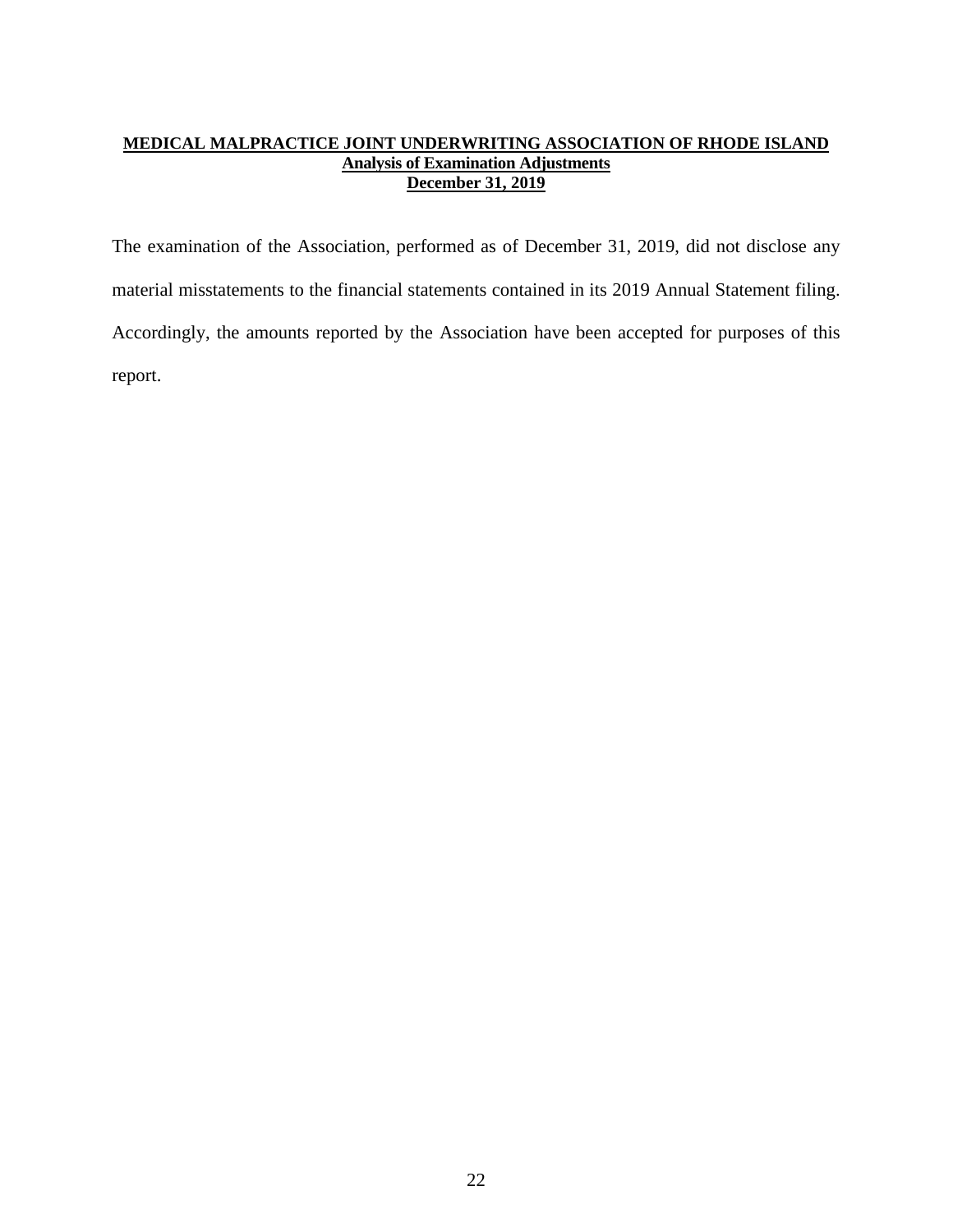## **MEDICAL MALPRACTICE JOINT UNDERWRITING ASSOCIATION OF RHODE ISLAND Analysis of Examination Adjustments December 31, 2019**

The examination of the Association, performed as of December 31, 2019, did not disclose any material misstatements to the financial statements contained in its 2019 Annual Statement filing. Accordingly, the amounts reported by the Association have been accepted for purposes of this report.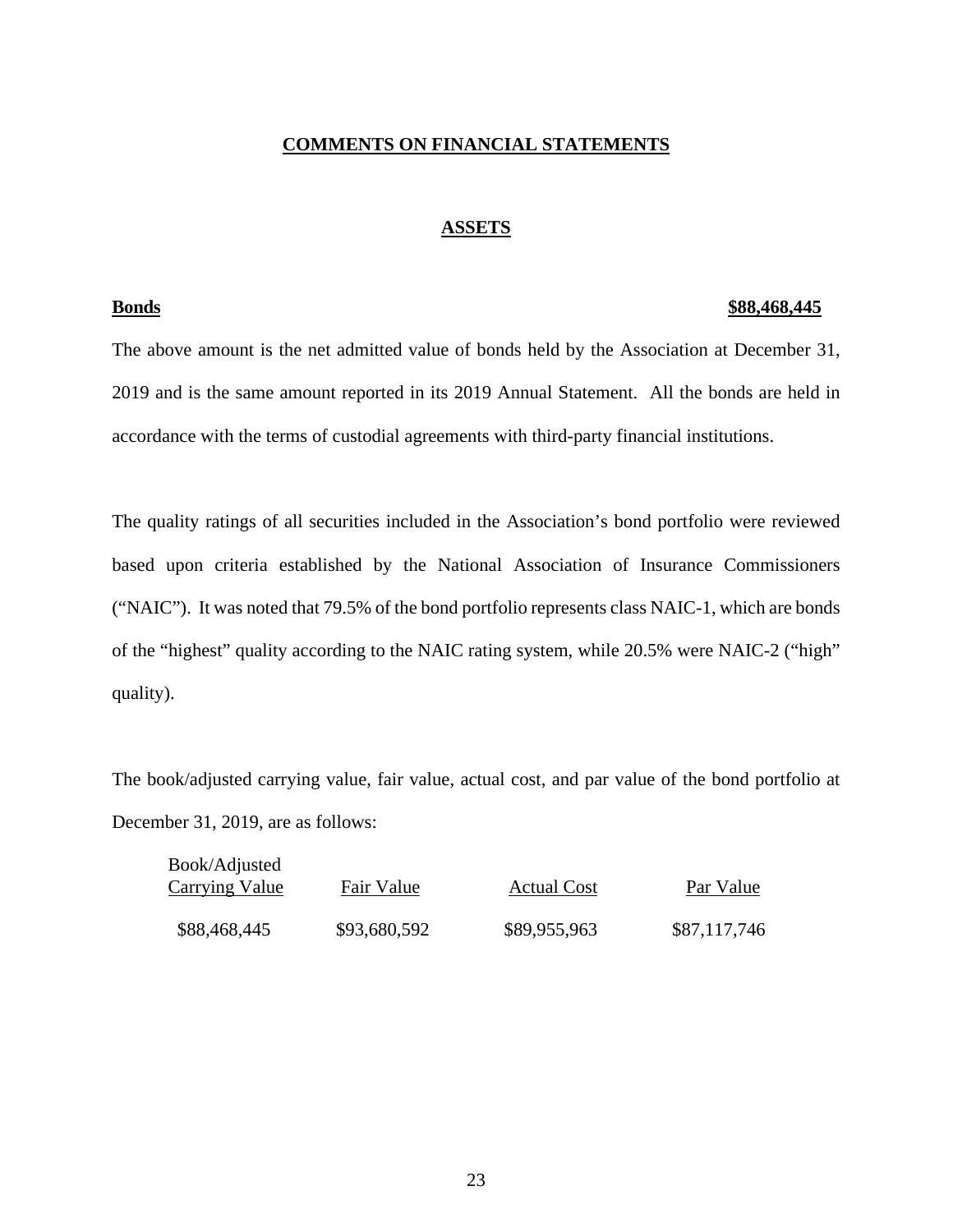## **COMMENTS ON FINANCIAL STATEMENTS**

## **ASSETS**

#### **Bonds \$88,468,445**

The above amount is the net admitted value of bonds held by the Association at December 31, 2019 and is the same amount reported in its 2019 Annual Statement. All the bonds are held in accordance with the terms of custodial agreements with third-party financial institutions.

The quality ratings of all securities included in the Association's bond portfolio were reviewed based upon criteria established by the National Association of Insurance Commissioners ("NAIC"). It was noted that 79.5% of the bond portfolio represents class NAIC-1, which are bonds of the "highest" quality according to the NAIC rating system, while 20.5% were NAIC-2 ("high" quality).

The book/adjusted carrying value, fair value, actual cost, and par value of the bond portfolio at December 31, 2019, are as follows:

| Book/Adjusted<br><b>Carrying Value</b> | Fair Value   | <b>Actual Cost</b> | Par Value    |
|----------------------------------------|--------------|--------------------|--------------|
| \$88,468,445                           | \$93,680,592 | \$89,955,963       | \$87,117,746 |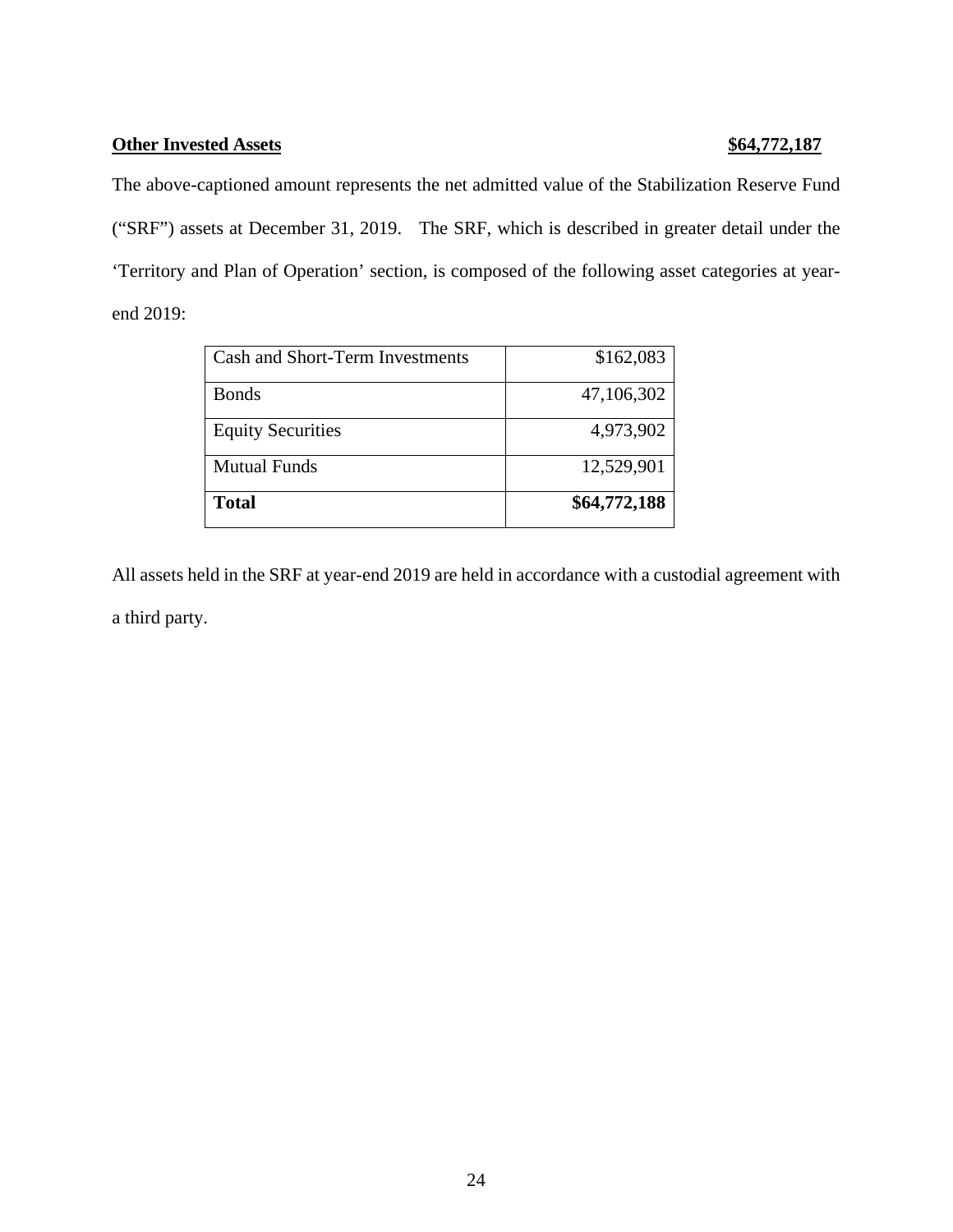## **Other Invested Assets \$64,772,187**

The above-captioned amount represents the net admitted value of the Stabilization Reserve Fund ("SRF") assets at December 31, 2019. The SRF, which is described in greater detail under the 'Territory and Plan of Operation' section, is composed of the following asset categories at yearend 2019:

| Cash and Short-Term Investments | \$162,083    |
|---------------------------------|--------------|
| <b>Bonds</b>                    | 47,106,302   |
| <b>Equity Securities</b>        | 4,973,902    |
| <b>Mutual Funds</b>             | 12,529,901   |
| <b>Total</b>                    | \$64,772,188 |

All assets held in the SRF at year-end 2019 are held in accordance with a custodial agreement with a third party.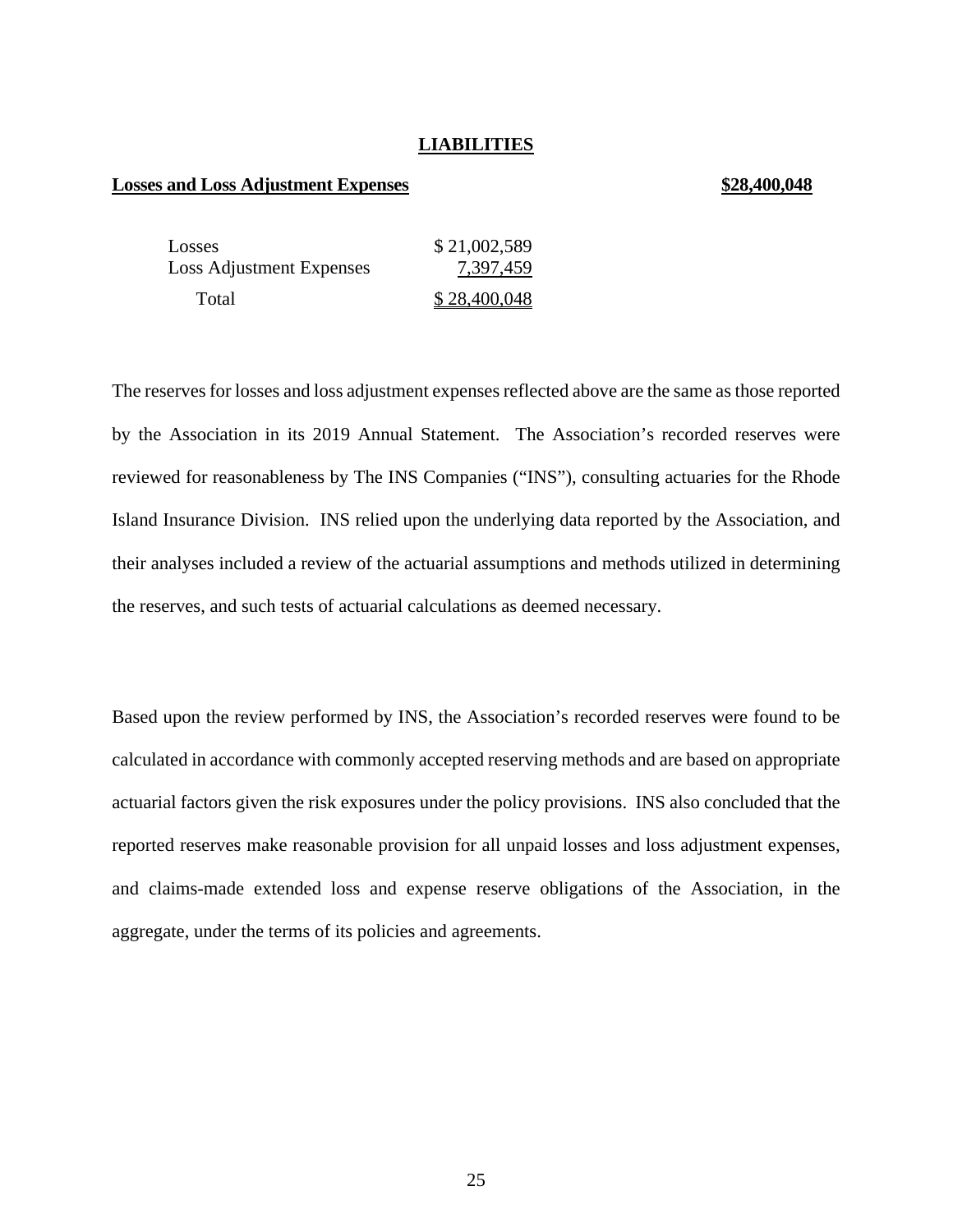## **LIABILITIES**

#### **Losses and Loss Adjustment Expenses \$28,400,048**

| Losses                          | \$21,002,589 |
|---------------------------------|--------------|
| <b>Loss Adjustment Expenses</b> | 7,397,459    |
| Total                           | \$28,400,048 |

The reserves for losses and loss adjustment expenses reflected above are the same as those reported by the Association in its 2019 Annual Statement. The Association's recorded reserves were reviewed for reasonableness by The INS Companies ("INS"), consulting actuaries for the Rhode Island Insurance Division. INS relied upon the underlying data reported by the Association, and their analyses included a review of the actuarial assumptions and methods utilized in determining the reserves, and such tests of actuarial calculations as deemed necessary.

Based upon the review performed by INS, the Association's recorded reserves were found to be calculated in accordance with commonly accepted reserving methods and are based on appropriate actuarial factors given the risk exposures under the policy provisions. INS also concluded that the reported reserves make reasonable provision for all unpaid losses and loss adjustment expenses, and claims-made extended loss and expense reserve obligations of the Association, in the aggregate, under the terms of its policies and agreements.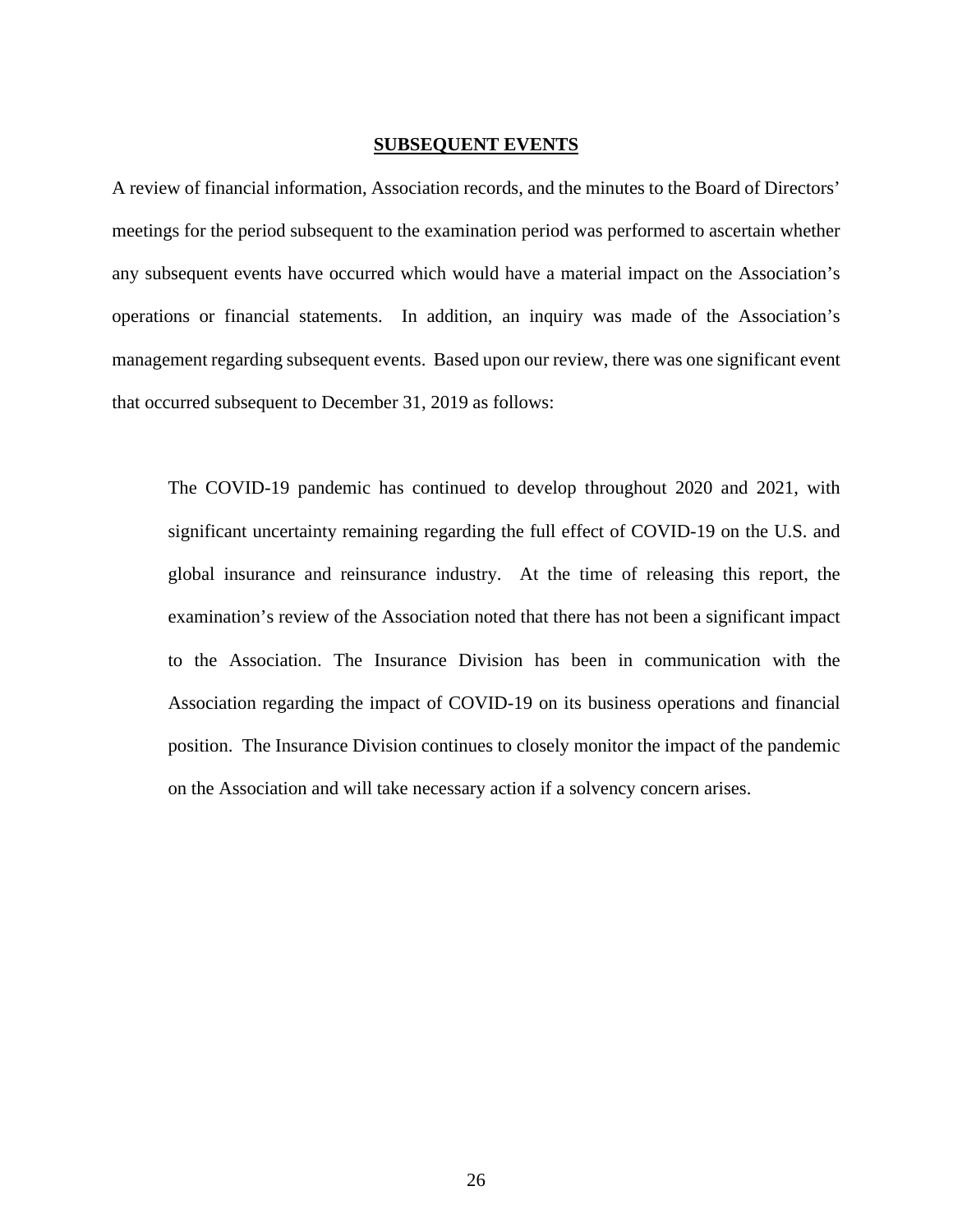### **SUBSEQUENT EVENTS**

A review of financial information, Association records, and the minutes to the Board of Directors' meetings for the period subsequent to the examination period was performed to ascertain whether any subsequent events have occurred which would have a material impact on the Association's operations or financial statements. In addition, an inquiry was made of the Association's management regarding subsequent events. Based upon our review, there was one significant event that occurred subsequent to December 31, 2019 as follows:

The COVID-19 pandemic has continued to develop throughout 2020 and 2021, with significant uncertainty remaining regarding the full effect of COVID-19 on the U.S. and global insurance and reinsurance industry. At the time of releasing this report, the examination's review of the Association noted that there has not been a significant impact to the Association. The Insurance Division has been in communication with the Association regarding the impact of COVID-19 on its business operations and financial position. The Insurance Division continues to closely monitor the impact of the pandemic on the Association and will take necessary action if a solvency concern arises.